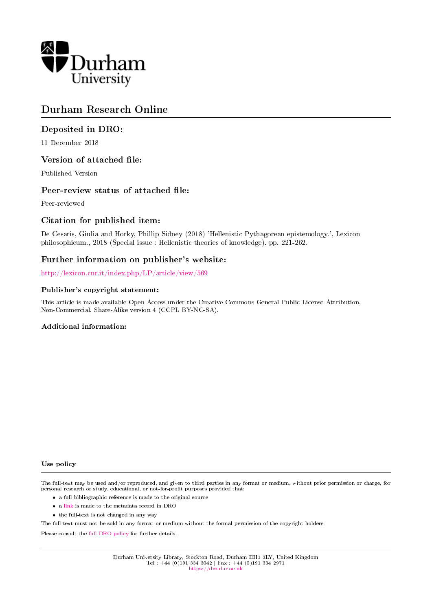

# Durham Research Online

# Deposited in DRO:

11 December 2018

# Version of attached file:

Published Version

# Peer-review status of attached file:

Peer-reviewed

# Citation for published item:

De Cesaris, Giulia and Horky, Phillip Sidney (2018) 'Hellenistic Pythagorean epistemology.', Lexicon philosophicum., 2018 (Special issue : Hellenistic theories of knowledge). pp. 221-262.

# Further information on publisher's website:

<http://lexicon.cnr.it/index.php/LP/article/view/569>

# Publisher's copyright statement:

This article is made available Open Access under the Creative Commons General Public License Attribution, Non-Commercial, Share-Alike version 4 (CCPL BY-NC-SA).

# Additional information:

Use policy

The full-text may be used and/or reproduced, and given to third parties in any format or medium, without prior permission or charge, for personal research or study, educational, or not-for-profit purposes provided that:

- a full bibliographic reference is made to the original source
- a [link](http://dro.dur.ac.uk/26217/) is made to the metadata record in DRO
- the full-text is not changed in any way

The full-text must not be sold in any format or medium without the formal permission of the copyright holders.

Please consult the [full DRO policy](https://dro.dur.ac.uk/policies/usepolicy.pdf) for further details.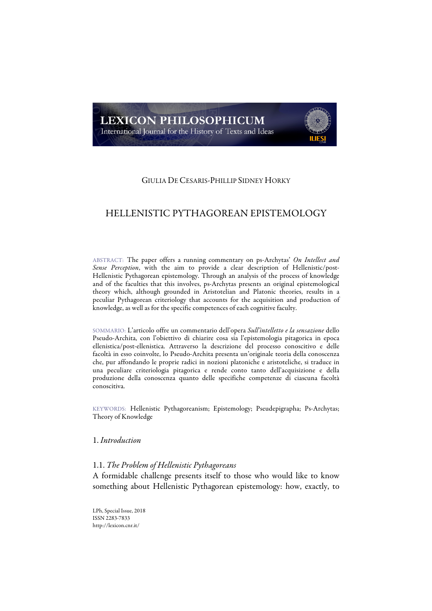# **LEXICON PHILOSOPHICUM**

International Journal for the History of Texts and Ideas



# HELLENISTIC PYTHAGOREAN EPISTEMOLOGY

ABSTRACT: The paper offers a running commentary on ps-Archytas' *On Intellect and Sense Perception*, with the aim to provide a clear description of Hellenistic/post-Hellenistic Pythagorean epistemology. Through an analysis of the process of knowledge and of the faculties that this involves, ps-Archytas presents an original epistemological theory which, although grounded in Aristotelian and Platonic theories, results in a peculiar Pythagorean criteriology that accounts for the acquisition and production of knowledge, as well as for the specific competences of each cognitive faculty.

SOMMARIO: L'articolo offre un commentario dell'opera *Sull'intelletto e la sensazione* dello Pseudo-Archita, con l'obiettivo di chiarire cosa sia l'epistemologia pitagorica in epoca ellenistica/post-ellenistica. Attraverso la descrizione del processo conoscitivo e delle facoltà in esso coinvolte, lo Pseudo-Archita presenta un'originale teoria della conoscenza che, pur affondando le proprie radici in nozioni platoniche e aristoteliche, si traduce in una peculiare criteriologia pitagorica e rende conto tanto dell'acquisizione e della produzione della conoscenza quanto delle specifiche competenze di ciascuna facoltà conoscitiva.

KEYWORDS: Hellenistic Pythagoreanism; Epistemology; Pseudepigrapha; Ps-Archytas; Theory of Knowledge

# 1. *Introduction*

# 1.1. *The Problem of Hellenistic Pythagoreans*

A formidable challenge presents itself to those who would like to know something about Hellenistic Pythagorean epistemology: how, exactly, to

LPh, Special Issue, 2018 ISSN 2283-7833 http://lexicon.cnr.it/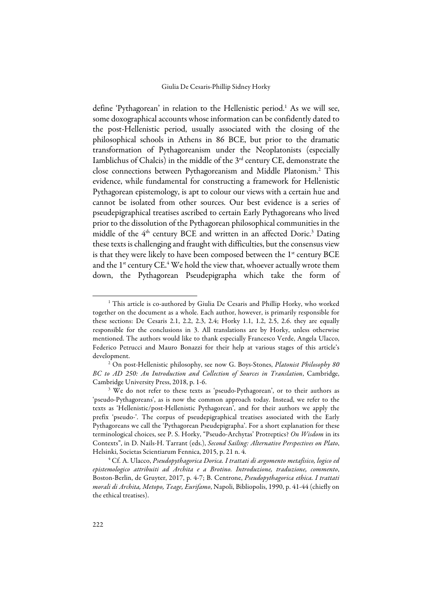define 'Pythagorean' in relation to the Hellenistic period.<sup>1</sup> As we will see, some doxographical accounts whose information can be confidently dated to the post-Hellenistic period, usually associated with the closing of the philosophical schools in Athens in 86 BCE, but prior to the dramatic transformation of Pythagoreanism under the Neoplatonists (especially Iamblichus of Chalcis) in the middle of the 3rd century CE, demonstrate the close connections between Pythagoreanism and Middle Platonism.2 This evidence, while fundamental for constructing a framework for Hellenistic Pythagorean epistemology, is apt to colour our views with a certain hue and cannot be isolated from other sources. Our best evidence is a series of pseudepigraphical treatises ascribed to certain Early Pythagoreans who lived prior to the dissolution of the Pythagorean philosophical communities in the middle of the 4<sup>th</sup> century BCE and written in an affected Doric.<sup>3</sup> Dating these texts is challenging and fraught with difficulties, but the consensus view is that they were likely to have been composed between the  $1<sup>st</sup>$  century BCE and the  $1^{\text{st}}$  century CE.<sup>4</sup> We hold the view that, whoever actually wrote them down, the Pythagorean Pseudepigrapha which take the form of

<sup>&</sup>lt;sup>1</sup> This article is co-authored by Giulia De Cesaris and Phillip Horky, who worked together on the document as a whole. Each author, however, is primarily responsible for these sections: De Cesaris 2.1, 2.2, 2.3, 2.4; Horky 1.1, 1.2, 2.5, 2.6. they are equally responsible for the conclusions in 3. All translations are by Horky, unless otherwise mentioned. The authors would like to thank especially Francesco Verde, Angela Ulacco, Federico Petrucci and Mauro Bonazzi for their help at various stages of this article's development. 2 On post-Hellenistic philosophy, see now G. Boys-Stones, *Platonist Philosophy 80* 

*BC to AD 250: An Introduction and Collection of Sources in Translation*, Cambridge, Cambridge University Press, 2018, p. 1-6.

<sup>&</sup>lt;sup>3</sup> We do not refer to these texts as 'pseudo-Pythagorean', or to their authors as 'pseudo-Pythagoreans', as is now the common approach today. Instead, we refer to the texts as 'Hellenistic/post-Hellenistic Pythagorean', and for their authors we apply the prefix 'pseudo-'. The corpus of pseudepigraphical treatises associated with the Early Pythagoreans we call the 'Pythagorean Pseudepigrapha'. For a short explanation for these terminological choices, see P. S. Horky, "Pseudo-Archytas' Protreptics? *On Wisdom* in its Contexts", in D. Nails-H. Tarrant (eds.), *Second Sailing: Alternative Perspectives on Plato*, Helsinki, Societas Scientiarum Fennica, 2015, p. 21 n. 4.

<sup>4</sup> Cf. A. Ulacco, *Pseudopythagorica Dorica. I trattati di argomento metafisico, logico ed epistemologico attribuiti ad Archita e a Brotino. Introduzione, traduzione, commento*, Boston-Berlin, de Gruyter, 2017, p. 4-7; B. Centrone, *Pseudopythagorica ethica. I trattati morali di Archita, Metopo, Teage, Eurifamo*, Napoli, Bibliopolis, 1990, p. 41-44 (chiefly on the ethical treatises).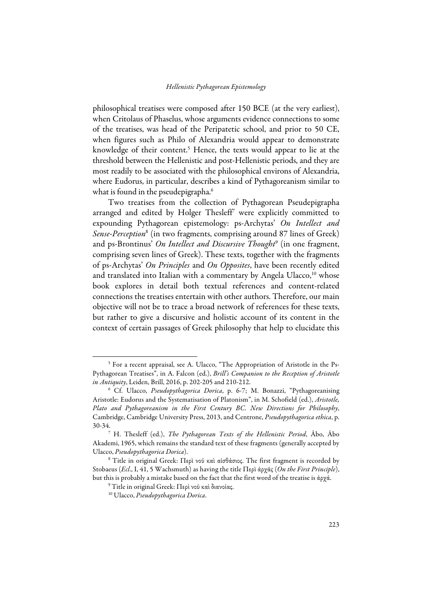philosophical treatises were composed after 150 BCE (at the very earliest), when Critolaus of Phaselus, whose arguments evidence connections to some of the treatises, was head of the Peripatetic school, and prior to 50 CE, when figures such as Philo of Alexandria would appear to demonstrate knowledge of their content.<sup>5</sup> Hence, the texts would appear to lie at the threshold between the Hellenistic and post-Hellenistic periods, and they are most readily to be associated with the philosophical environs of Alexandria, where Eudorus, in particular, describes a kind of Pythagoreanism similar to what is found in the pseudepigrapha.<sup>6</sup>

Two treatises from the collection of Pythagorean Pseudepigrapha arranged and edited by Holger Thesleff<sup>7</sup> were explicitly committed to expounding Pythagorean epistemology: ps-Archytas' *On Intellect and Sense-Perception*<sup>8</sup> (in two fragments, comprising around 87 lines of Greek) and ps-Brontinus' *On Intellect and Discursive Thought*<sup>9</sup> (in one fragment, comprising seven lines of Greek). These texts, together with the fragments of ps-Archytas' *On Principles* and *On Opposites*, have been recently edited and translated into Italian with a commentary by Angela Ulacco,<sup>10</sup> whose book explores in detail both textual references and content-related connections the treatises entertain with other authors. Therefore, our main objective will not be to trace a broad network of references for these texts, but rather to give a discursive and holistic account of its content in the context of certain passages of Greek philosophy that help to elucidate this

 <sup>5</sup> For a recent appraisal, see A. Ulacco, "The Appropriation of Aristotle in the Ps-Pythagorean Treatises", in A. Falcon (ed.), *Brill's Companion to the Reception of Aristotle in Antiquity*, Leiden, Brill, 2016, p. 202-205 and 210-212.

<sup>6</sup> Cf. Ulacco, *Pseudopythagorica Dorica*, p. 6-7; M. Bonazzi, "Pythagoreanising Aristotle: Eudorus and the Systematisation of Platonism", in M. Schofield (ed.), *Aristotle, Plato and Pythagoreanism in the First Century BC. New Directions for Philosophy*, Cambridge, Cambridge University Press, 2013, and Centrone, *Pseudopythagorica ethica*, p. 30-34.7 H. Thesleff (ed.), *The Pythagorean Texts of the Hellenistic Period*, Åbo, Åbo

Akademi, 1965, which remains the standard text of these fragments (generally accepted by Ulacco, *Pseudopythagorica Dorica*).

<sup>8</sup> Title in original Greek: Περὶ νοῦ καὶ αἰσθάσιος. The first fragment is recorded by Stobaeus (*Ecl*., I, 41, 5 Wachsmuth) as having the title Περὶ ἀρχᾶς (*On the First Principle*), but this is probably a mistake based on the fact that the first word of the treatise is ἀρχά. 9 Title in original Greek: Περὶ νοῦ καὶ διανοίας.

<sup>10</sup> Ulacco, *Pseudopythagorica Dorica*.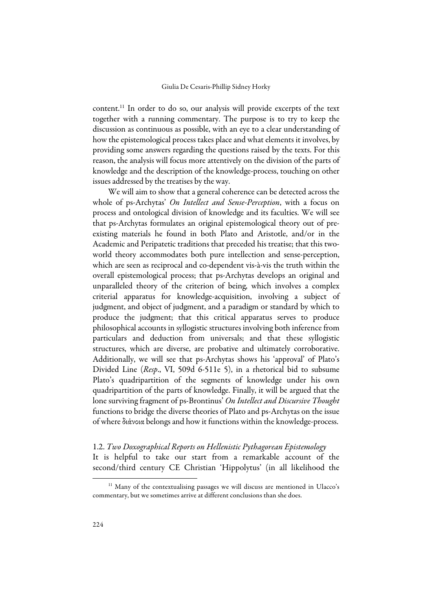content.11 In order to do so, our analysis will provide excerpts of the text together with a running commentary. The purpose is to try to keep the discussion as continuous as possible, with an eye to a clear understanding of how the epistemological process takes place and what elements it involves, by providing some answers regarding the questions raised by the texts. For this reason, the analysis will focus more attentively on the division of the parts of knowledge and the description of the knowledge-process, touching on other issues addressed by the treatises by the way.

We will aim to show that a general coherence can be detected across the whole of ps-Archytas' *On Intellect and Sense-Perception*, with a focus on process and ontological division of knowledge and its faculties. We will see that ps-Archytas formulates an original epistemological theory out of preexisting materials he found in both Plato and Aristotle, and/or in the Academic and Peripatetic traditions that preceded his treatise; that this twoworld theory accommodates both pure intellection and sense-perception, which are seen as reciprocal and co-dependent vis-à-vis the truth within the overall epistemological process; that ps-Archytas develops an original and unparalleled theory of the criterion of being, which involves a complex criterial apparatus for knowledge-acquisition, involving a subject of judgment, and object of judgment, and a paradigm or standard by which to produce the judgment; that this critical apparatus serves to produce philosophical accounts in syllogistic structures involving both inference from particulars and deduction from universals; and that these syllogistic structures, which are diverse, are probative and ultimately corroborative. Additionally, we will see that ps-Archytas shows his 'approval' of Plato's Divided Line (*Resp*., VI, 509d 6-511e 5), in a rhetorical bid to subsume Plato's quadripartition of the segments of knowledge under his own quadripartition of the parts of knowledge. Finally, it will be argued that the lone surviving fragment of ps-Brontinus' *On Intellect and Discursive Thought* functions to bridge the diverse theories of Plato and ps-Archytas on the issue of where διάνοια belongs and how it functions within the knowledge-process.

1.2. *Two Doxographical Reports on Hellenistic Pythagorean Epistemology* It is helpful to take our start from a remarkable account of the second/third century CE Christian 'Hippolytus' (in all likelihood the

<sup>&</sup>lt;sup>11</sup> Many of the contextualising passages we will discuss are mentioned in Ulacco's commentary, but we sometimes arrive at different conclusions than she does.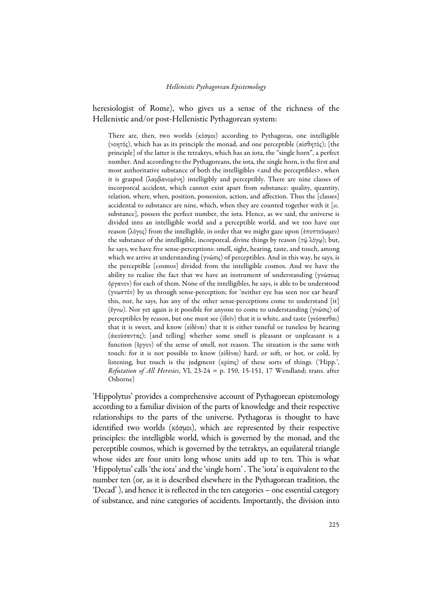heresiologist of Rome), who gives us a sense of the richness of the Hellenistic and/or post-Hellenistic Pythagorean system:

There are, then, two worlds (κόσμοι) according to Pythagoras, one intelligible (νοητός), which has as its principle the monad, and one perceptible (αἰσθητός); [the principle] of the latter is the tetraktys, which has an iota, the "single horn", a perfect number. And according to the Pythagoreans, the iota, the single horn, is the first and most authoritative substance of both the intelligibles <and the perceptibles>, when it is grasped (λαμβανομένη) intelligibly and perceptibly. There are nine classes of incorporeal accident, which cannot exist apart from substance: quality, quantity, relation, where, when, position, possession, action, and affection. Thus the [classes] accidental to substance are nine, which, when they are counted together with it [*sc.*  substance], possess the perfect number, the iota. Hence, as we said, the universe is divided into an intelligible world and a perceptible world, and we too have our reason (λόγος) from the intelligible, in order that we might gaze upon (ἐποπτεύωμεν) the substance of the intelligible, incorporeal, divine things by reason (τῷ λόγῳ); but, he says, we have five sense-perceptions: smell, sight, hearing, taste, and touch, among which we arrive at understanding (γνῶσις) of perceptibles. And in this way, he says, is the perceptible [cosmos] divided from the intelligible cosmos. And we have the ability to realize the fact that we have an instrument of understanding (γνώσεως ὄργανον) for each of them. None of the intelligibles, he says, is able to be understood (γνωστόν) by us through sense-perception; for 'neither eye has seen nor ear heard' this, nor, he says, has any of the other sense-perceptions come to understand [it] (ἔγνω). Nor yet again is it possible for anyone to come to understanding (γνῶσις) of perceptibles by reason, but one must see (ἰδεῖν) that it is white, and taste (γεύσασθαι) that it is sweet, and know (εἰδέναι) that it is either tuneful or tuneless by hearing (ἀκούσαντας); [and telling] whether some smell is pleasant or unpleasant is a function (ἔργον) of the sense of smell, not reason. The situation is the same with touch: for it is not possible to know (εἰδέναι) hard, or soft, or hot, or cold, by listening, but touch is the judgment (κρίσις) of these sorts of things. ('Hipp.', *Refutation of All Heresies*, VI, 23-24 = p. 150, 15-151, 17 Wendland; trans. after Osborne)

'Hippolytus' provides a comprehensive account of Pythagorean epistemology according to a familiar division of the parts of knowledge and their respective relationships to the parts of the universe. Pythagoras is thought to have identified two worlds (κόσμοι), which are represented by their respective principles: the intelligible world, which is governed by the monad, and the perceptible cosmos, which is governed by the tetraktys, an equilateral triangle whose sides are four units long whose units add up to ten. This is what 'Hippolytus'calls 'the iota' and the 'single horn' . The 'iota' is equivalent to the number ten (or, as it is described elsewhere in the Pythagorean tradition, the 'Decad' ), and hence it is reflected in the ten categories – one essential category of substance, and nine categories of accidents. Importantly, the division into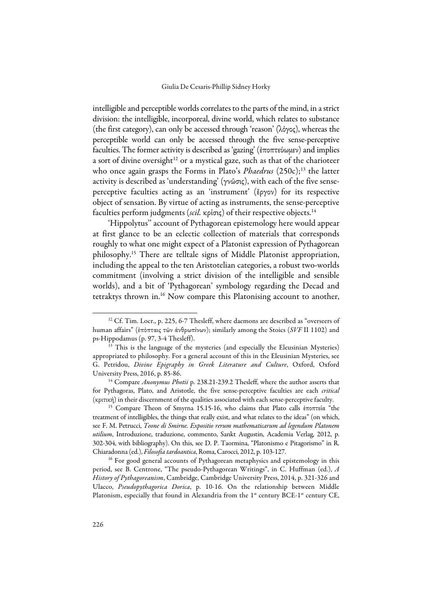intelligible and perceptible worlds correlates to the parts of the mind, in a strict division: the intelligible, incorporeal, divine world, which relates to substance (the first category), can only be accessed through 'reason' (λόγος), whereas the perceptible world can only be accessed through the five sense-perceptive faculties. The former activity is described as 'gazing' (ἐποπτεύωμεν) and implies a sort of divine oversight<sup>12</sup> or a mystical gaze, such as that of the charioteer who once again grasps the Forms in Plato's *Phaedrus* (250c);<sup>13</sup> the latter activity is described as 'understanding' (γνῶσις), with each of the five senseperceptive faculties acting as an 'instrument' (ἔργον) for its respective object of sensation. By virtue of acting as instruments, the sense-perceptive faculties perform judgments (*scil.* κρίσις) of their respective objects.14

'Hippolytus'' account of Pythagorean epistemology here would appear at first glance to be an eclectic collection of materials that corresponds roughly to what one might expect of a Platonist expression of Pythagorean philosophy.15 There are telltale signs of Middle Platonist appropriation, including the appeal to the ten Aristotelian categories, a robust two-worlds commitment (involving a strict division of the intelligible and sensible worlds), and a bit of 'Pythagorean' symbology regarding the Decad and tetraktys thrown in.16 Now compare this Platonising account to another,

<sup>&</sup>lt;sup>12</sup> Cf. Tim. Locr., p. 225, 6-7 Thesleff, where daemons are described as "overseers of human affairs" (ἐπόπταις τῶν ἀνθρωπίνων); similarly among the Stoics (*SVF* II 1102) and ps-Hippodamus (p. 97, 3-4 Thesleff).

 $13$  This is the language of the mysteries (and especially the Eleusinian Mysteries) appropriated to philosophy. For a general account of this in the Eleusinian Mysteries, see G. Petridou, *Divine Epigraphy in Greek Literature and Culture*, Oxford, Oxford University Press, 2016, p. 85-86.

<sup>&</sup>lt;sup>14</sup> Compare *Anonymus Photii* p. 238.21-239.2 Thesleff, where the author asserts that for Pythagoras, Plato, and Aristotle, the five sense-perceptive faculties are each *critical* (κριτική) in their discernment of the qualities associated with each sense-perceptive faculty.

<sup>&</sup>lt;sup>15</sup> Compare Theon of Smyrna 15.15-16, who claims that Plato calls έποπτεία "the treatment of intelligibles, the things that really exist, and what relates to the ideas" (on which, see F. M. Petrucci, *Teone di Smirne. Expositio rerum mathematicarum ad legendum Platonem utilium*, Introduzione, traduzione, commento, Sankt Augustin, Academia Verlag, 2012, p. 302-304, with bibliography). On this, see D. P. Taormina, "Platonismo e Pitagorismo" in R. Chiaradonna (ed.), *Filosofia tardoantica*, Roma, Carocci, 2012, p. 103-127.

<sup>&</sup>lt;sup>16</sup> For good general accounts of Pythagorean metaphysics and epistemology in this period, see B. Centrone, "The pseudo-Pythagorean Writings", in C. Huffman (ed.), *A History of Pythagoreanism*, Cambridge, Cambridge University Press, 2014, p. 321-326 and Ulacco, *Pseudopythagorica Dorica*, p. 10-16. On the relationship between Middle Platonism, especially that found in Alexandria from the 1<sup>st</sup> century BCE-1<sup>st</sup> century CE,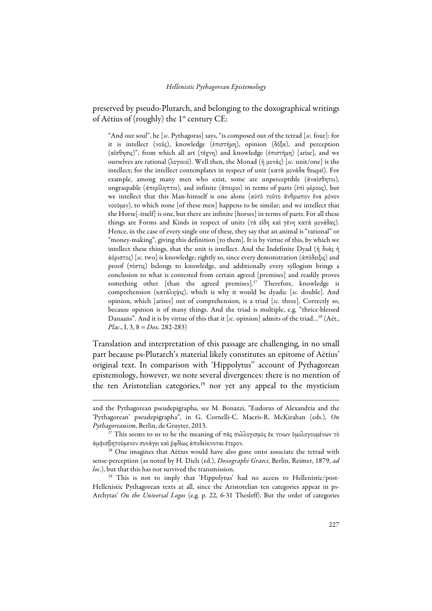preserved by pseudo-Plutarch, and belonging to the doxographical writings of Aëtius of (roughly) the  $1<sup>st</sup>$  century CE:

"And our soul", he [*sc.* Pythagoras] says, "is composed out of the tetrad [*sc.* four]: for it is intellect (νοῦς), knowledge (ἐπιστήμη), opinion (δόξα), and perception (αἴσθησις)", from which all art (τέχνη) and knowledge (ἐπιστήμη) [arise], and we ourselves are rational (λογικοί). Well then, the Monad (ἡ μονάς) [*sc.* unit/one] is the intellect; for the intellect contemplates in respect of unit (κατὰ μονάδα θεωρεῖ). For example, among many men who exist, some are unperceptible (ἀναίσθητοι), ungraspable (ἀπερίληπτοι), and infinite (ἄπειροι) in terms of parts (ἐπὶ μέρους), but we intellect that this Man-himself is one alone (αὐτὸ τοῦτο ἄνθρωπον ἕνα μόνον νοοῦμεν), to which none [of these men] happens to be similar; and we intellect that the Horse[-itself] is one, but there are infinite [horses] in terms of parts. For all these things are Forms and Kinds in respect of units (τὰ εἴδη καὶ γένη κατὰ μονάδας). Hence, in the case of every single one of these, they say that an animal is "rational" or "money-making", giving this definition [to them]. It is by virtue of this, by which we intellect these things, that the unit is intellect. And the Indefinite Dyad (ἡ δυὰς ἡ ἀόριστος) [*sc.* two] is knowledge; rightly so, since every demonstration (ἀπόδειξις) and proof (πίστις) belongs to knowledge, and additionally every syllogism brings a conclusion to what is contested from certain agreed [premises] and readily proves something other [than the agreed premises].<sup>17</sup> Therefore, knowledge is comprehension (κατάληψις), which is why it would be dyadic [*sc.* double]. And opinion, which [arises] out of comprehension, is a triad [*sc.* three]. Correctly so, because opinion is of many things. And the triad is multiple, e.g. "thrice-blessed Danaans". And it is by virtue of this that it [*sc.* opinion] admits of the triad…18 (Aët., *Plac*., I, 3, 8 = *Dox.* 282-283)

Translation and interpretation of this passage are challenging, in no small part because ps-Plutarch's material likely constitutes an epitome of Aëtius' original text. In comparison with 'Hippolytus'' account of Pythagorean epistemology, however, we note several divergences: there is no mention of the ten Aristotelian categories, $19$  nor yet any appeal to the mysticism

 $\overline{a}$ 

and the Pythagorean pseudepigrapha, see M. Bonazzi, "Eudorus of Alexandria and the 'Pythagorean' pseudepigrapha", in G. Cornelli-C. Macris-R. McKirahan (eds.), *On Pythagoreanism*, Berlin, de Gruyter, 2013.

<sup>&</sup>lt;sup>17</sup> This seems to us to be the meaning of πάς συλλογισμὸς ἔκ τινων ὁμολογουμένων τὸ ἀμφισβητούμενον συνάγει καὶ ῥᾳδίως ἀποδείκνυται ἕτερον.

<sup>&</sup>lt;sup>18</sup> One imagines that Aëtius would have also gone onto associate the tetrad with sense-perception (as noted by H. Diels (ed.), *Doxographi Graeci*, Berlin, Reimer, 1879, *ad loc*.), but that this has not survived the transmission.

<sup>&</sup>lt;sup>19</sup> This is not to imply that 'Hippolytus' had no access to Hellenistic/post-Hellenistic Pythagorean texts at all, since the Aristotelian ten categories appear in ps-Archytas' *On the Universal Logos* (e.g. p. 22, 6-31 Thesleff). But the order of categories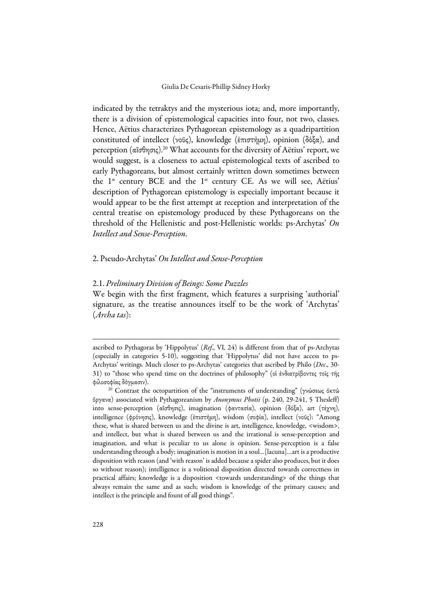indicated by the tetraktys and the mysterious iota; and, more importantly, there is a division of epistemological capacities into four, not two, classes. Hence, Aëtius characterizes Pythagorean epistemology as a quadripartition constituted of intellect (νοῦς), knowledge (ἐπιστήμη), opinion (δόξα), and perception (αἴσθησις).20 What accounts for the diversity of Aëtius' report, we would suggest, is a closeness to actual epistemological texts of ascribed to early Pythagoreans, but almost certainly written down sometimes between the 1<sup>st</sup> century BCE and the 1<sup>st</sup> century CE. As we will see, Aëtius' description of Pythagorean epistemology is especially important because it would appear to be the first attempt at reception and interpretation of the central treatise on epistemology produced by these Pythagoreans on the threshold of the Hellenistic and post-Hellenistic worlds: ps-Archytas' *On Intellect and Sense-Perception*.

## 2. Pseudo-Archytas' *On Intellect and Sense-Perception*

# 2.1. *Preliminary Division of Beings: Some Puzzles*

We begin with the first fragment, which features a surprising 'authorial' signature, as the treatise announces itself to be the work of 'Archytas' (*Archa tas*):

 $\overline{a}$ 

ascribed to Pythagoras by 'Hippolytus' (*Ref*., VI, 24) is different from that of ps-Archytas (especially in categories 5-10), suggesting that 'Hippolytus' did not have access to ps-Archytas' writings. Much closer to ps-Archytas' categories that ascribed by Philo (*Dec*., 30- 31) to "those who spend time on the doctrines of philosophy" (οἱ ἐνδιατρίβοντες τοῖς τῆς φιλοσοφίας δόγμασιν). 20 Contrast the octopartition of the "instruments of understanding" (γνώσεως ὀκτώ

ὄργανα) associated with Pythagoreanism by *Anonymus Photii* (p. 240, 29-241, 5 Thesleff) into sense-perception (αἴσθησις), imagination (φαντασία), opinion (δόξα), art (τέχνη), intelligence (φρόνησις), knowledge (ἐπιστήμη), wisdom (σοφία), intellect (νοῦς): "Among these, what is shared between us and the divine is art, intelligence, knowledge, <wisdom>, and intellect, but what is shared between us and the irrational is sense-perception and imagination, and what is peculiar to us alone is opinion. Sense-perception is a false understanding through a body; imagination is motion in a soul…[lacuna]…art is a productive disposition with reason (and 'with reason' is added because a spider also produces, but it does so without reason); intelligence is a volitional disposition directed towards correctness in practical affairs; knowledge is a disposition <towards understanding> of the things that always remain the same and as such; wisdom is knowledge of the primary causes; and intellect is the principle and fount of all good things".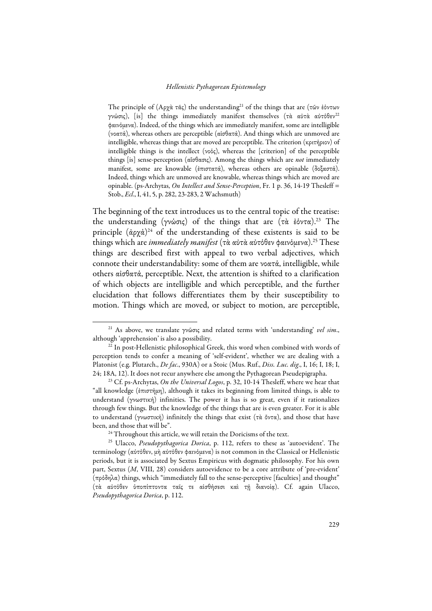The principle of  $(Aρχà τãς)$  the understanding<sup>21</sup> of the things that are (τῶν ἐόντων γνώσις), [is] the things immediately manifest themselves (τὰ αὐτὰ αὐτόθεν<sup>22</sup> φαινόμενα). Indeed, of the things which are immediately manifest, some are intelligible (νοατά), whereas others are perceptible (αἰσθατά). And things which are unmoved are intelligible, whereas things that are moved are perceptible. The criterion (κριτήριον) of intelligible things is the intellect (νοός), whereas the [criterion] of the perceptible things [is] sense-perception (αἴσθασις). Among the things which are *not* immediately manifest, some are knowable (ἐπιστατά), whereas others are opinable (δοξαστά). Indeed, things which are unmoved are knowable, whereas things which are moved are opinable. (ps-Archytas, *On Intellect and Sense-Perception*, Fr. 1 p. 36, 14-19 Thesleff = Stob., *Ecl*., I, 41, 5, p. 282, 23-283, 2 Wachsmuth)

The beginning of the text introduces us to the central topic of the treatise: the understanding (γνώσις) of the things that are (τὰ ἐόντα).23 The principle  $(αρχα)^{24}$  of the understanding of these existents is said to be things which are *immediately manifest* (τὰ αὐτὰ αὐτόθεν φαινόμενα).25 These things are described first with appeal to two verbal adjectives, which connote their understandability: some of them are νοατά, intelligible, while others αἰσθατά, perceptible. Next, the attention is shifted to a clarification of which objects are intelligible and which perceptible, and the further elucidation that follows differentiates them by their susceptibility to motion. Things which are moved, or subject to motion, are perceptible,

 <sup>21</sup> As above, we translate γνῶσις and related terms with 'understanding' *vel sim*., although 'apprehension' is also a possibility.

 $22$  In post-Hellenistic philosophical Greek, this word when combined with words of perception tends to confer a meaning of 'self-evident', whether we are dealing with a Platonist (e.g. Plutarch., *De fac*., 930A) or a Stoic (Mus. Ruf., *Diss. Luc. dig*., I, 16; I, 18; I, 24; 18A, 12). It does not recur anywhere else among the Pythagorean Pseudepigrapha.

<sup>23</sup> Cf. ps-Archytas, *On the Universal Logos*, p. 32, 10-14 Thesleff, where we hear that "all knowledge (ἐπιστήμη), although it takes its beginning from limited things, is able to understand (γνωστική) infinities. The power it has is so great, even if it rationalizes through few things. But the knowledge of the things that are is even greater. For it is able to understand (γνωστική) infinitely the things that exist (τὰ ὄντα), and those that have been, and those that will be". 24 Throughout this article, we will retain the Doricisms of the text.

<sup>25</sup> Ulacco, *Pseudopythagorica Dorica*, p. 112, refers to these as 'autoevident'. The terminology (αὐτόθεν, μὴ αὐτόθεν φαινόμενα) is not common in the Classical or Hellenistic periods, but it is associated by Sextus Empiricus with dogmatic philosophy. For his own part, Sextus (*M*, VIII, 28) considers autoevidence to be a core attribute of 'pre-evident' (πρόδηλα) things, which "immediately fall to the sense-perceptive [faculties] and thought" (τὰ αὐτόθεν ὑποπίπτοντα ταῖς τε αἰσθήσεσι καὶ τῇ διανοίᾳ). Cf. again Ulacco, *Pseudopythagorica Dorica*, p. 112.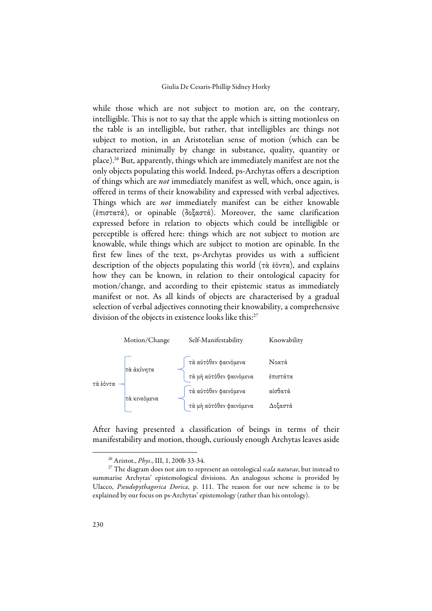while those which are not subject to motion are, on the contrary, intelligible. This is not to say that the apple which is sitting motionless on the table is an intelligible, but rather, that intelligibles are things not subject to motion, in an Aristotelian sense of motion (which can be characterized minimally by change in substance, quality, quantity or place).26 But, apparently, things which are immediately manifest are not the only objects populating this world. Indeed, ps-Archytas offers a description of things which are *not* immediately manifest as well, which, once again, is offered in terms of their knowability and expressed with verbal adjectives. Things which are *not* immediately manifest can be either knowable (ἐπιστατά), or opinable (δοξαστά). Moreover, the same clarification expressed before in relation to objects which could be intelligible or perceptible is offered here: things which are not subject to motion are knowable, while things which are subject to motion are opinable. In the first few lines of the text, ps-Archytas provides us with a sufficient description of the objects populating this world (τὰ ἐόντα), and explains how they can be known, in relation to their ontological capacity for motion/change, and according to their epistemic status as immediately manifest or not. As all kinds of objects are characterised by a gradual selection of verbal adjectives connoting their knowability, a comprehensive division of the objects in existence looks like this:<sup>27</sup>



After having presented a classification of beings in terms of their manifestability and motion, though, curiously enough Archytas leaves aside

 <sup>26</sup> Aristot., *Phys*., III, 1, 200b 33-34.

<sup>&</sup>lt;sup>27</sup> The diagram does not aim to represent an ontological *scala naturae*, but instead to summarise Archytas' epistemological divisions. An analogous scheme is provided by Ulacco, *Pseudopythagorica Dorica*, p. 111. The reason for our new scheme is to be explained by our focus on ps-Archytas' epistemology (rather than his ontology).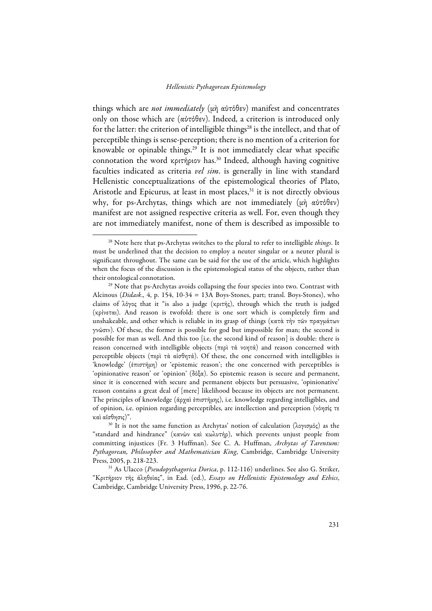things which are *not immediately* (μὴ αὐτόθεν) manifest and concentrates only on those which are (αὐτόθεν). Indeed, a criterion is introduced only for the latter: the criterion of intelligible things $28$  is the intellect, and that of perceptible things is sense-perception; there is no mention of a criterion for knowable or opinable things.29 It is not immediately clear what specific connotation the word κριτήριον has.30 Indeed, although having cognitive faculties indicated as criteria *vel sim*. is generally in line with standard Hellenistic conceptualizations of the epistemological theories of Plato, Aristotle and Epicurus, at least in most places,<sup>31</sup> it is not directly obvious why, for ps-Archytas, things which are not immediately (μὴ αὐτόθεν) manifest are not assigned respective criteria as well. For, even though they are not immediately manifest, none of them is described as impossible to

 <sup>28</sup> Note here that ps-Archytas switches to the plural to refer to intelligible *things*. It must be underlined that the decision to employ a neuter singular or a neuter plural is significant throughout. The same can be said for the use of the article, which highlights when the focus of the discussion is the epistemological status of the objects, rather than

their ontological connotation. 29 Note that ps-Archytas avoids collapsing the four species into two. Contrast with Alcinous (*Didask*., 4, p. 154, 10-34 = 13A Boys-Stones, part; transl. Boys-Stones), who claims of λόγος that it "is also a judge (κριτής), through which the truth is judged (κρίνεται). And reason is twofold: there is one sort which is completely firm and unshakeable, and other which is reliable in its grasp of things (κατὰ τὴν τῶν πραγμάτων γνῶσιν). Of these, the former is possible for god but impossible for man; the second is possible for man as well. And this too [i.e. the second kind of reason] is double: there is reason concerned with intelligible objects (περὶ τά νοητά) and reason concerned with perceptible objects (περὶ τὰ αἰσθητά). Of these, the one concerned with intelligibles is 'knowledge' (ἐπιστήμη) or 'epistemic reason'; the one concerned with perceptibles is 'opinionative reason' or 'opinion' (δόξα). So epistemic reason is secure and permanent, since it is concerned with secure and permanent objects but persuasive, 'opinionative' reason contains a great deal of [mere] likelihood because its objects are not permanent. The principles of knowledge (ἀρχαὶ ἐπιστήμης), i.e. knowledge regarding intelligibles, and of opinion, i.e. opinion regarding perceptibles, are intellection and perception (νόησίς τε καὶ αἴσθησις)".

<sup>30</sup> It is not the same function as Archytas' notion of calculation (λογισμός) as the "standard and hindrance" (κανὼν καὶ κωλυτήρ), which prevents unjust people from committing injustices (Fr. 3 Huffman). See C. A. Huffman, *Archytas of Tarentum: Pythagorean, Philosopher and Mathematician King*, Cambridge, Cambridge University Press, 2005, p. 218-223. 31 As Ulacco (*Pseudopythagorica Dorica*, p. 112-116) underlines. See also G. Striker,

<sup>&</sup>quot;Kριτήριον τῆς ἀληθείας", in Ead. (ed.), *Essays on Hellenistic Epistemology and Ethics*, Cambridge, Cambridge University Press, 1996, p. 22-76.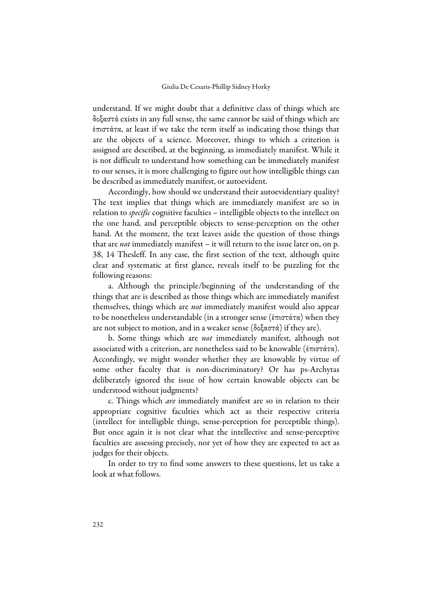understand. If we might doubt that a definitive class of things which are δοξαστά exists in any full sense, the same cannot be said of things which are ἐπιστάτα, at least if we take the term itself as indicating those things that are the objects of a science. Moreover, things to which a criterion is assigned are described, at the beginning, as immediately manifest. While it is not difficult to understand how something can be immediately manifest to our senses, it is more challenging to figure out how intelligible things can be described as immediately manifest, or autoevident.

Accordingly, how should we understand their autoevidentiary quality? The text implies that things which are immediately manifest are so in relation to *specific* cognitive faculties – intelligible objects to the intellect on the one hand, and perceptible objects to sense-perception on the other hand. At the moment, the text leaves aside the question of those things that are *not* immediately manifest – it will return to the issue later on, on p. 38, 14 Thesleff. In any case, the first section of the text, although quite clear and systematic at first glance, reveals itself to be puzzling for the following reasons:

a. Although the principle/beginning of the understanding of the things that are is described as those things which are immediately manifest themselves, things which are *not* immediately manifest would also appear to be nonetheless understandable (in a stronger sense (ἐπιστάτα) when they are not subject to motion, and in a weaker sense (δοξαστά) if they are).

b. Some things which are *not* immediately manifest, although not associated with a criterion, are nonetheless said to be knowable (ἐπιστάτα). Accordingly, we might wonder whether they are knowable by virtue of some other faculty that is non-discriminatory? Or has ps-Archytas deliberately ignored the issue of how certain knowable objects can be understood without judgments?

c. Things which *are* immediately manifest are so in relation to their appropriate cognitive faculties which act as their respective criteria (intellect for intelligible things, sense-perception for perceptible things). But once again it is not clear what the intellective and sense-perceptive faculties are assessing precisely, nor yet of how they are expected to act as judges for their objects.

In order to try to find some answers to these questions, let us take a look at what follows.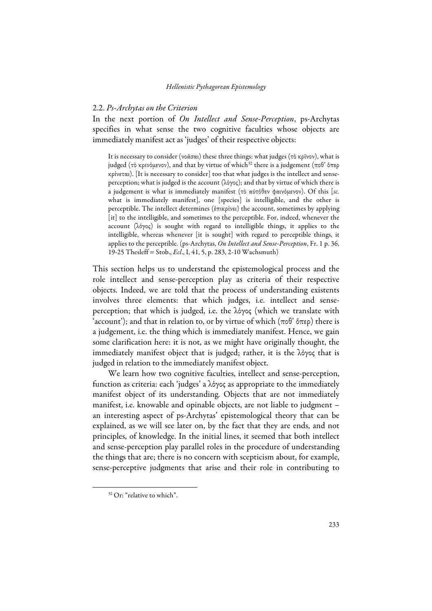# 2.2. *Ps-Archytas on the Criterion*

In the next portion of *On Intellect and Sense-Perception*, ps-Archytas specifies in what sense the two cognitive faculties whose objects are immediately manifest act as 'judges' of their respective objects:

It is necessary to consider (νοᾶσαι) these three things: what judges (τὸ κρῖνον), what is judged (τὸ κρινόμενον), and that by virtue of which32 there is a judgement (ποθ' ὅπερ κρίνεται). [It is necessary to consider] too that what judges is the intellect and senseperception; what is judged is the account (λόγος); and that by virtue of which there is a judgement is what is immediately manifest (τὸ αὐτόθεν φαινόμενον). Of this [*sc.*  what is immediately manifest], one [species] is intelligible, and the other is perceptible. The intellect determines (ἐπικρίνει) the account, sometimes by applying [it] to the intelligible, and sometimes to the perceptible. For, indeed, whenever the account (λόγος) is sought with regard to intelligible things, it applies to the intelligible, whereas whenever [it is sought] with regard to perceptible things, it applies to the perceptible. (ps-Archytas, *On Intellect and Sense-Perception*, Fr. 1 p. 36, 19-25 Thesleff = Stob., *Ecl*., I, 41, 5, p. 283, 2-10 Wachsmuth)

This section helps us to understand the epistemological process and the role intellect and sense-perception play as criteria of their respective objects. Indeed, we are told that the process of understanding existents involves three elements: that which judges, i.e. intellect and senseperception; that which is judged, i.e. the λόγος (which we translate with 'account'); and that in relation to, or by virtue of which (ποθ' ὅπερ) there is a judgement, i.e. the thing which is immediately manifest. Hence, we gain some clarification here: it is not, as we might have originally thought, the immediately manifest object that is judged; rather, it is the λόγος that is judged in relation to the immediately manifest object.

We learn how two cognitive faculties, intellect and sense-perception, function as criteria: each 'judges' a λόγος as appropriate to the immediately manifest object of its understanding. Objects that are not immediately manifest, i.e. knowable and opinable objects, are not liable to judgment – an interesting aspect of ps-Archytas' epistemological theory that can be explained, as we will see later on, by the fact that they are ends, and not principles, of knowledge. In the initial lines, it seemed that both intellect and sense-perception play parallel roles in the procedure of understanding the things that are; there is no concern with scepticism about, for example, sense-perceptive judgments that arise and their role in contributing to

<sup>&</sup>lt;sup>32</sup> Or: "relative to which".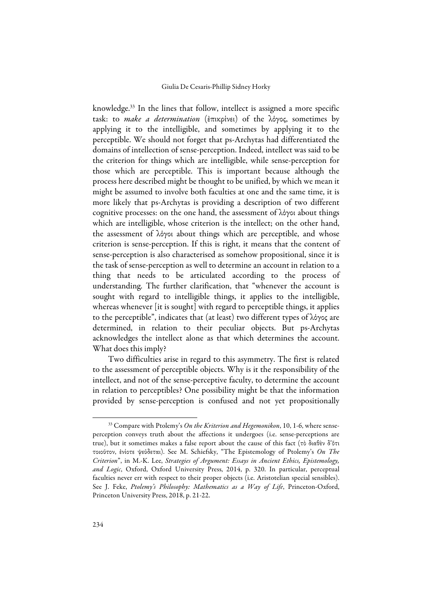knowledge.33 In the lines that follow, intellect is assigned a more specific task: to *make a determination* (ἐπικρίνει) of the λόγος, sometimes by applying it to the intelligible, and sometimes by applying it to the perceptible. We should not forget that ps-Archytas had differentiated the domains of intellection of sense-perception. Indeed, intellect was said to be the criterion for things which are intelligible, while sense-perception for those which are perceptible. This is important because although the process here described might be thought to be unified, by which we mean it might be assumed to involve both faculties at one and the same time, it is more likely that ps-Archytas is providing a description of two different cognitive processes: on the one hand, the assessment of λόγοι about things which are intelligible, whose criterion is the intellect; on the other hand, the assessment of λόγοι about things which are perceptible, and whose criterion is sense-perception. If this is right, it means that the content of sense-perception is also characterised as somehow propositional, since it is the task of sense-perception as well to determine an account in relation to a thing that needs to be articulated according to the process of understanding. The further clarification, that "whenever the account is sought with regard to intelligible things, it applies to the intelligible, whereas whenever [it is sought] with regard to perceptible things, it applies to the perceptible", indicates that (at least) two different types of λόγος are determined, in relation to their peculiar objects. But ps-Archytas acknowledges the intellect alone as that which determines the account. What does this imply?

Two difficulties arise in regard to this asymmetry. The first is related to the assessment of perceptible objects. Why is it the responsibility of the intellect, and not of the sense-perceptive faculty, to determine the account in relation to perceptibles? One possibility might be that the information provided by sense-perception is confused and not yet propositionally

 <sup>33</sup> Compare with Ptolemy's *On the Kriterion and Hegemonikon*, 10, 1-6, where senseperception conveys truth about the affections it undergoes (i.e. sense-perceptions are true), but it sometimes makes a false report about the cause of this fact (τὸ διαθὲν δ'ὅτι τοιοῦτον, ἑνίοτε ψεύδεται). See M. Schiefsky, "The Epistemology of Ptolemy's *On The Criterion*", in M.-K. Lee, *Strategies of Argument: Essays in Ancient Ethics, Epistemology, and Logic*, Oxford, Oxford University Press, 2014, p. 320. In particular, perceptual faculties never err with respect to their proper objects (i.e. Aristotelian special sensibles). See J. Feke, *Ptolemy's Philosophy: Mathematics as a Way of Life*, Princeton-Oxford, Princeton University Press, 2018, p. 21-22.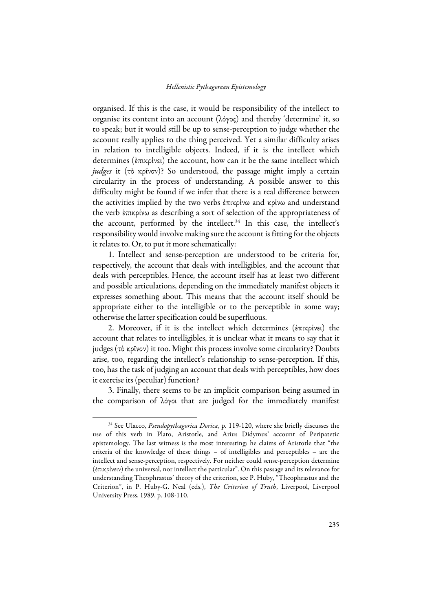organised. If this is the case, it would be responsibility of the intellect to organise its content into an account (λόγος) and thereby 'determine' it, so to speak; but it would still be up to sense-perception to judge whether the account really applies to the thing perceived. Yet a similar difficulty arises in relation to intelligible objects. Indeed, if it is the intellect which determines (ἐπικρίνει) the account, how can it be the same intellect which *judges* it (τὸ κρῖνον)? So understood, the passage might imply a certain circularity in the process of understanding. A possible answer to this difficulty might be found if we infer that there is a real difference between the activities implied by the two verbs ἐπικρίνω and κρίνω and understand the verb ἐπικρίνω as describing a sort of selection of the appropriateness of the account, performed by the intellect. $34$  In this case, the intellect's responsibility would involve making sure the account is fitting for the objects it relates to. Or, to put it more schematically:

1. Intellect and sense-perception are understood to be criteria for, respectively, the account that deals with intelligibles, and the account that deals with perceptibles. Hence, the account itself has at least two different and possible articulations, depending on the immediately manifest objects it expresses something about. This means that the account itself should be appropriate either to the intelligible or to the perceptible in some way; otherwise the latter specification could be superfluous.

2. Moreover, if it is the intellect which determines (ἐπικρίνει) the account that relates to intelligibles, it is unclear what it means to say that it judges (τὸ κρῖνον) it too. Might this process involve some circularity? Doubts arise, too, regarding the intellect's relationship to sense-perception. If this, too, has the task of judging an account that deals with perceptibles, how does it exercise its (peculiar) function?

3. Finally, there seems to be an implicit comparison being assumed in the comparison of λόγοι that are judged for the immediately manifest

 <sup>34</sup> See Ulacco, *Pseudopythagorica Dorica*, p. 119-120, where she briefly discusses the use of this verb in Plato, Aristotle, and Arius Didymus' account of Peripatetic epistemology. The last witness is the most interesting: he claims of Aristotle that "the criteria of the knowledge of these things – of intelligibles and perceptibles – are the intellect and sense-perception, respectively. For neither could sense-perception determine (ἐπικρίνειν) the universal, nor intellect the particular". On this passage and its relevance for understanding Theophrastus' theory of the criterion, see P. Huby, "Theophrastus and the Criterion", in P. Huby-G. Neal (eds.), *The Criterion of Truth*, Liverpool, Liverpool University Press, 1989, p. 108-110.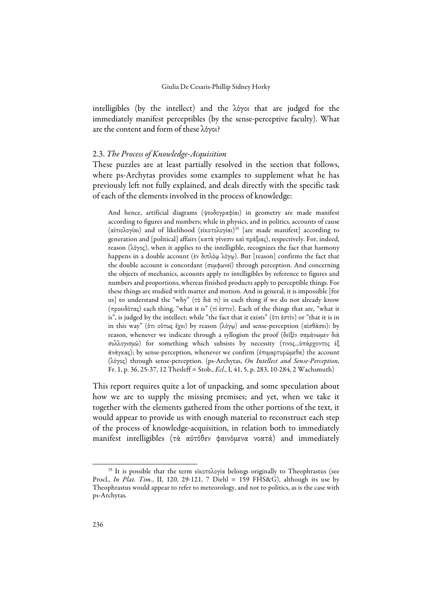intelligibles (by the intellect) and the λόγοι that are judged for the immediately manifest perceptibles (by the sense-perceptive faculty). What are the content and form of these λόγοι?

## 2.3. *The Process of Knowledge-Acquisition*

These puzzles are at least partially resolved in the section that follows, where ps-Archytas provides some examples to supplement what he has previously left not fully explained, and deals directly with the specific task of each of the elements involved in the process of knowledge:

And hence, artificial diagrams (ψευδογραφίαι) in geometry are made manifest according to figures and numbers; while in physics, and in politics, accounts of cause (αἰτιολογίαι) and of likelihood (εἰκοτολογίαι) <sup>35</sup> [are made manifest] according to generation and [political] affairs (κατὰ γένεσιν καὶ πράξιας), respectively. For, indeed, reason (λόγος), when it applies to the intelligible, recognizes the fact that harmony happens in a double account (ἐν διπλόῳ λόγῳ). But [reason] confirms the fact that the double account is concordant (συμφωνεῖ) through perception. And concerning the objects of mechanics, accounts apply to intelligibles by reference to figures and numbers and proportions, whereas finished products apply to perceptible things. For these things are studied with matter and motion. And in general, it is impossible [for us] to understand the "why" (τὸ διὰ τι) in each thing if we do not already know (προειδότας) each thing, "what it is" (τί ἐστιν). Each of the things that are, "what it is", is judged by the intellect; while "the fact that it exists" (ὅτι ἐστίν) or "that it is in in this way" (ὅτι οὕτως ἔχει) by reason (λόγῳ) and sense-perception (αἰσθάσει): by reason, whenever we indicate through a syllogism the proof (δεῖξίν σαμάνωμεν διὰ συλλογισμῶ) for something which subsists by necessity (τινος...ὑπάρχοντος ἐξ ἀνάγκας); by sense-perception, whenever we confirm (ἐπιμαρτυρώμεθα) the account (λόγος) through sense-perception. (ps-Archytas, *On Intellect and Sense-Perception*, Fr. 1, p. 36, 25-37, 12 Thesleff = Stob., *Ecl*., I, 41, 5, p. 283, 10-284, 2 Wachsmuth)

This report requires quite a lot of unpacking, and some speculation about how we are to supply the missing premises; and yet, when we take it together with the elements gathered from the other portions of the text, it would appear to provide us with enough material to reconstruct each step of the process of knowledge-acquisition, in relation both to immediately manifest intelligibles (τὰ αὐτόθεν φαινόμενα νοατά) and immediately

<sup>&</sup>lt;sup>35</sup> It is possible that the term εἰκοτολογία belongs originally to Theophrastus (see Procl., *In Plat. Tim.*, II, 120, 29-121, 7 Diehl = 159 FHS&G), although its use by Theophrastus would appear to refer to meteorology, and not to politics, as is the case with ps-Archytas.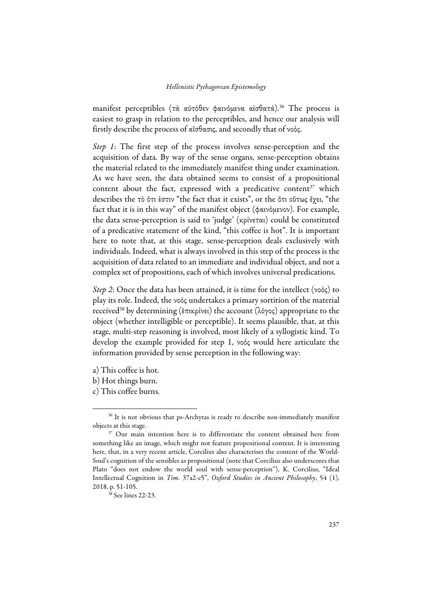manifest perceptibles (τὰ αὐτόθεν φαινόμενα αἰσθατά).36 The process is easiest to grasp in relation to the perceptibles, and hence our analysis will firstly describe the process of αἴσθασις, and secondly that of νοός.

*Step 1*: The first step of the process involves sense-perception and the acquisition of data. By way of the sense organs, sense-perception obtains the material related to the immediately manifest thing under examination. As we have seen, the data obtained seems to consist of a propositional content about the fact, expressed with a predicative content<sup>37</sup> which describes the τὸ ὅτι ἐστιν "the fact that it exists", or the ὅτι οὕτως ἔχει, "the fact that it is in this way" of the manifest object (φαινόμενον). For example, the data sense-perception is said to 'judge' (κρίνεται) could be constituted of a predicative statement of the kind, "this coffee is hot". It is important here to note that, at this stage, sense-perception deals exclusively with individuals. Indeed, what is always involved in this step of the process is the acquisition of data related to an immediate and individual object, and not a complex set of propositions, each of which involves universal predications.

*Step 2*: Once the data has been attained, it is time for the intellect (νοός) to play its role. Indeed, the νοός undertakes a primary sortition of the material received<sup>38</sup> by determining (ἐπικρίνει) the account (λόγος) appropriate to the object (whether intelligible or perceptible). It seems plausible, that, at this stage, multi-step reasoning is involved, most likely of a syllogistic kind. To develop the example provided for step 1, νοός would here articulate the information provided by sense perception in the following way:

- a) This coffee is hot.
- b) Hot things burn.
- c) This coffee burns.

 <sup>36</sup> It is not obvious that ps-Archytas is ready to describe *non*-immediately manifest objects at this stage.

<sup>&</sup>lt;sup>37</sup> Our main intention here is to differentiate the content obtained here from something like an image, which might not feature propositional content. It is interesting here, that, in a very recent article, Corcilius also characterises the content of the World-Soul's cognition of the sensibles as propositional (note that Corcilius also underscores that Plato "does not endow the world soul with sense-perception"), K. Corcilius, "Ideal Intellectual Cognition in *Tim*. 37a2-c5", *Oxford Studies in Ancient Philosophy*, 54 (1), 2018, p. 51-105.<br><sup>38</sup> See lines 22-23.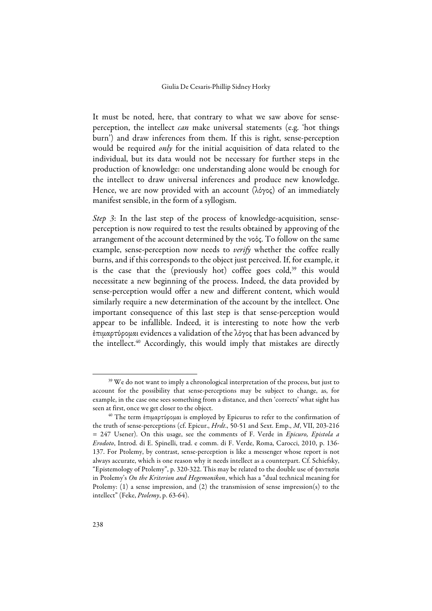It must be noted, here, that contrary to what we saw above for senseperception, the intellect *can* make universal statements (e.g. 'hot things burn') and draw inferences from them. If this is right, sense-perception would be required *only* for the initial acquisition of data related to the individual, but its data would not be necessary for further steps in the production of knowledge: one understanding alone would be enough for the intellect to draw universal inferences and produce new knowledge. Hence, we are now provided with an account (λόγος) of an immediately manifest sensible, in the form of a syllogism.

*Step 3*: In the last step of the process of knowledge-acquisition, senseperception is now required to test the results obtained by approving of the arrangement of the account determined by the νοός. To follow on the same example, sense-perception now needs to *verify* whether the coffee really burns, and if this corresponds to the object just perceived. If, for example, it is the case that the (previously hot) coffee goes  $\text{cold},^{39}$  this would necessitate a new beginning of the process. Indeed, the data provided by sense-perception would offer a new and different content, which would similarly require a new determination of the account by the intellect. One important consequence of this last step is that sense-perception would appear to be infallible. Indeed, it is interesting to note how the verb ἐπιμαρτύρομαι evidences a validation of the λόγος that has been advanced by the intellect.<sup>40</sup> Accordingly, this would imply that mistakes are directly

<sup>&</sup>lt;sup>39</sup> We do not want to imply a chronological interpretation of the process, but just to account for the possibility that sense-perceptions may be subject to change, as, for example, in the case one sees something from a distance, and then 'corrects' what sight has seen at first, once we get closer to the object. 40 The term ἐπιμαρτύρομαι is employed by Epicurus to refer to the confirmation of

the truth of sense-perceptions (cf. Epicur., *Hrdt*., 50-51 and Sext. Emp., *M*, VII, 203-216 = 247 Usener). On this usage, see the comments of F. Verde in *Epicuro, Epistola a Erodoto*, Introd. di E. Spinelli, trad. e comm. di F. Verde, Roma, Carocci, 2010, p. 136- 137. For Ptolemy, by contrast, sense-perception is like a messenger whose report is not always accurate, which is one reason why it needs intellect as a counterpart. Cf. Schiefsky, "Epistemology of Ptolemy", p. 320-322. This may be related to the double use of φαντασία in Ptolemy's *On the Kriterion and Hegemonikon*, which has a "dual technical meaning for Ptolemy: (1) a sense impression, and (2) the transmission of sense impression(s) to the intellect" (Feke, *Ptolemy*, p. 63-64).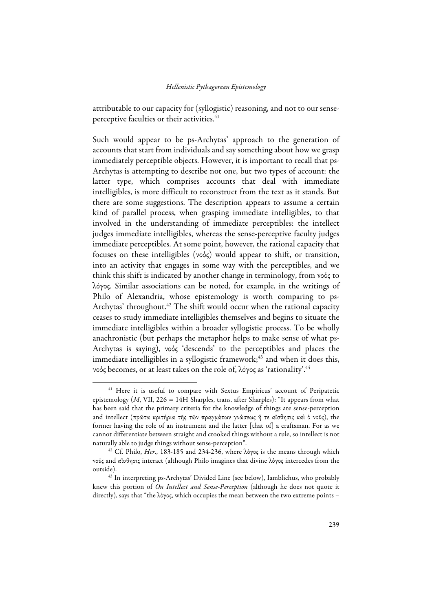attributable to our capacity for (syllogistic) reasoning, and not to our senseperceptive faculties or their activities.<sup>41</sup>

Such would appear to be ps-Archytas' approach to the generation of accounts that start from individuals and say something about how we grasp immediately perceptible objects. However, it is important to recall that ps-Archytas is attempting to describe not one, but two types of account: the latter type, which comprises accounts that deal with immediate intelligibles, is more difficult to reconstruct from the text as it stands. But there are some suggestions. The description appears to assume a certain kind of parallel process, when grasping immediate intelligibles, to that involved in the understanding of immediate perceptibles: the intellect judges immediate intelligibles, whereas the sense-perceptive faculty judges immediate perceptibles. At some point, however, the rational capacity that focuses on these intelligibles (νοός) would appear to shift, or transition, into an activity that engages in some way with the perceptibles, and we think this shift is indicated by another change in terminology, from νοός to λόγος. Similar associations can be noted, for example, in the writings of Philo of Alexandria, whose epistemology is worth comparing to ps-Archytas' throughout.<sup>42</sup> The shift would occur when the rational capacity ceases to study immediate intelligibles themselves and begins to situate the immediate intelligibles within a broader syllogistic process. To be wholly anachronistic (but perhaps the metaphor helps to make sense of what ps-Archytas is saying), νοός 'descends' to the perceptibles and places the immediate intelligibles in a syllogistic framework; $43$  and when it does this, νοός becomes, or at least takes on the role of, λόγος as 'rationality'.44

<sup>&</sup>lt;sup>41</sup> Here it is useful to compare with Sextus Empiricus' account of Peripatetic epistemology  $(M, VII, 226 = 14H$  Sharples, trans. after Sharples): "It appears from what has been said that the primary criteria for the knowledge of things are sense-perception and intellect (πρῶτα κριτήρια τῆς τῶν πραγμάτων γνώσεως ἥ τε αἴσθησις καὶ ὁ νοῦς), the former having the role of an instrument and the latter [that of] a craftsman. For as we cannot differentiate between straight and crooked things without a rule, so intellect is not naturally able to judge things without sense-perception".

<sup>&</sup>lt;sup>42</sup> Cf. Philo, *Her*., 183-185 and 234-236, where λόγος is the means through which νοῦς and αἴσθησις interact (although Philo imagines that divine λόγος intercedes from the outside).

<sup>&</sup>lt;sup>43</sup> In interpreting ps-Archytas' Divided Line (see below), Iamblichus, who probably knew this portion of *On Intellect and Sense-Perception* (although he does not quote it directly), says that "the λόγος, which occupies the mean between the two extreme points –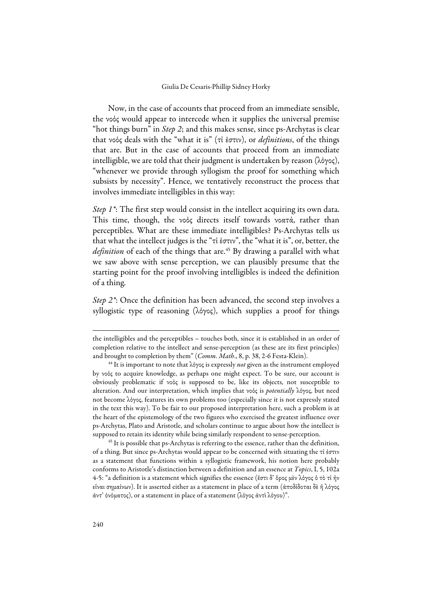Now, in the case of accounts that proceed from an immediate sensible, the νοός would appear to intercede when it supplies the universal premise "hot things burn" in *Step 2*; and this makes sense, since ps-Archytas is clear that νοός deals with the "what it is" (τί ἐστιν), or *definitions*, of the things that are. But in the case of accounts that proceed from an immediate intelligible, we are told that their judgment is undertaken by reason (λόγος), "whenever we provide through syllogism the proof for something which subsists by necessity". Hence, we tentatively reconstruct the process that involves immediate intelligibles in this way:

*Step 1<sup>\*</sup>*: The first step would consist in the intellect acquiring its own data. This time, though, the νοός directs itself towards νοατά, rather than perceptibles. What are these immediate intelligibles? Ps-Archytas tells us that what the intellect judges is the "τί ἐστιν", the "what it is", or, better, the *definition* of each of the things that are.<sup>45</sup> By drawing a parallel with what we saw above with sense perception, we can plausibly presume that the starting point for the proof involving intelligibles is indeed the definition of a thing.

*Step 2<sup>\*</sup>*: Once the definition has been advanced, the second step involves a syllogistic type of reasoning (λόγος), which supplies a proof for things

 $45$  It is possible that ps-Archytas is referring to the essence, rather than the definition, of a thing. But since ps-Archytas would appear to be concerned with situating the τί ἐστιν as a statement that functions within a syllogistic framework, his notion here probably conforms to Aristotle's distinction between a definition and an essence at *Topics*, I, 5, 102a 4-5: "a definition is a statement which signifies the essence (ἔστι δ' ὅρος μὲν λόγος ὁ τὸ τί ἦν εἶναι σημαίνων). It is asserted either as a statement in place of a term (ἀποδίδοται δὲ ἢ λόγος ἀντ' ὀνόματος), or a statement in place of a statement (λόγος ἀντὶ λόγου)".

 $\overline{a}$ 

the intelligibles and the perceptibles – touches both, since it is established in an order of completion relative to the intellect and sense-perception (as these are its first principles) and brought to completion by them" (*Comm. Math*., 8, p. 38, 2-6 Festa-Klein). 44 It is important to note that λόγος is expressly *not* given as the instrument employed

by νοός to acquire knowledge, as perhaps one might expect. To be sure, our account is obviously problematic if νοός is supposed to be, like its objects, not susceptible to alteration. And our interpretation, which implies that νοός is *potentially* λόγος, but need not become λόγος, features its own problems too (especially since it is not expressly stated in the text this way). To be fair to our proposed interpretation here, such a problem is at the heart of the epistemology of the two figures who exercised the greatest influence over ps-Archytas, Plato and Aristotle, and scholars continue to argue about how the intellect is supposed to retain its identity while being similarly respondent to sense-perception.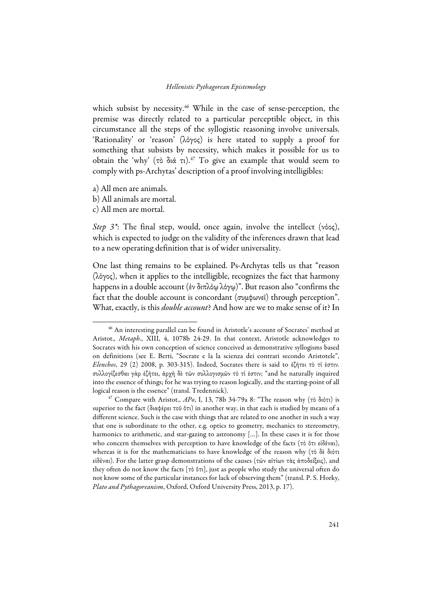which subsist by necessity.<sup>46</sup> While in the case of sense-perception, the premise was directly related to a particular perceptible object, in this circumstance all the steps of the syllogistic reasoning involve universals. 'Rationality' or 'reason' (λόγος) is here stated to supply a proof for something that subsists by necessity, which makes it possible for us to obtain the 'why' (τὸ διά τι).<sup>47</sup> To give an example that would seem to comply with ps-Archytas' description of a proof involving intelligibles:

a) All men are animals.

b) All animals are mortal.

c) All men are mortal.

*Step 3\**: The final step, would, once again, involve the intellect (νόος), which is expected to judge on the validity of the inferences drawn that lead to a new operating definition that is of wider universality.

One last thing remains to be explained. Ps-Archytas tells us that "reason (λόγος), when it applies to the intelligible, recognizes the fact that harmony happens in a double account (ἐν διπλόῳ λόγῳ)". But reason also "confirms the fact that the double account is concordant (συμφωνεῖ) through perception". What, exactly, is this *double account*? And how are we to make sense of it? In

 <sup>46</sup> An interesting parallel can be found in Aristotle's account of Socrates' method at Aristot., *Metaph*., XIII, 4, 1078b 24-29. In that context, Aristotle acknowledges to Socrates with his own conception of science conceived as demonstrative syllogisms based on definitions (see E. Berti, "Socrate e la la scienza dei contrari secondo Aristotele", *Elenchos*, 29 (2) 2008, p. 303-315). Indeed, Socrates there is said to ἐζήτει τὸ τί ἐστιν. συλλογίζεσθαι γὰρ ἐζήτει, ἀρχὴ δὲ τῶν συλλογισμῶν τὸ τί ἐστιν; "and he naturally inquired into the essence of things; for he was trying to reason logically, and the starting-point of all

logical reason is the essence" (transl. Tredennick). 47 Compare with Aristot., *APo*, I, 13, 78b 34-79a 8: "The reason why (τὸ διότι) is superior to the fact (διαφέρει τοῦ ὅτι) in another way, in that each is studied by means of a different science. Such is the case with things that are related to one another in such a way that one is subordinate to the other, e.g. optics to geometry, mechanics to stereometry, harmonics to arithmetic, and star-gazing to astronomy […]. In these cases it is for those who concern themselves with perception to have knowledge of the facts (τὸ ὅτι εἰδέναι), whereas it is for the mathematicians to have knowledge of the reason why (τὸ δὲ διότι εἰδέναι). For the latter grasp demonstrations of the causes (τῶν αἰτίων τὰς ἀποδείξεις), and they often do not know the facts [τὸ ὅτι], just as people who study the universal often do not know some of the particular instances for lack of observing them" (transl. P. S. Horky, *Plato and Pythagoreanism*, Oxford, Oxford University Press, 2013, p. 17).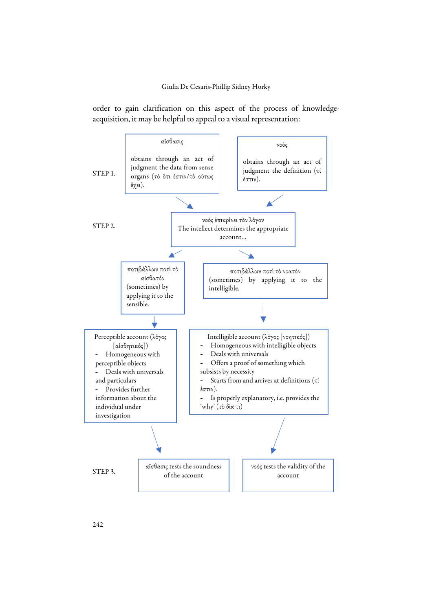order to gain clarification on this aspect of the process of knowledgeacquisition, it may be helpful to appeal to a visual representation:

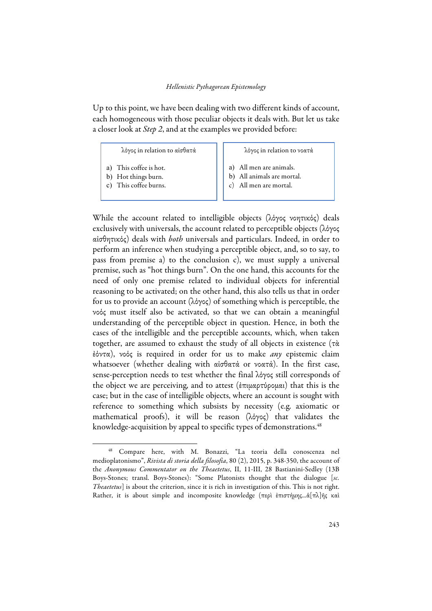Up to this point, we have been dealing with two different kinds of account, each homogeneous with those peculiar objects it deals with. But let us take a closer look at *Step 2*, and at the examples we provided before:

| λόγος in relation to αίσθατά                                           | λόγος in relation to νοατά                                                                      |
|------------------------------------------------------------------------|-------------------------------------------------------------------------------------------------|
| a) This coffee is hot.<br>b) Hot things burn.<br>c) This coffee burns. | a) All men are animals.<br>b) All animals are mortal.<br>All men are mortal.<br>$\mathcal{C}$ ) |

While the account related to intelligible objects (λόγος νοητικός) deals exclusively with universals, the account related to perceptible objects (λόγος αἰσθητικός) deals with *both* universals and particulars. Indeed, in order to perform an inference when studying a perceptible object, and, so to say, to pass from premise a) to the conclusion c), we must supply a universal premise, such as "hot things burn". On the one hand, this accounts for the need of only one premise related to individual objects for inferential reasoning to be activated; on the other hand, this also tells us that in order for us to provide an account (λόγος) of something which is perceptible, the νοός must itself also be activated, so that we can obtain a meaningful understanding of the perceptible object in question. Hence, in both the cases of the intelligible and the perceptible accounts, which, when taken together, are assumed to exhaust the study of all objects in existence (τὰ ἐόντα), νοός is required in order for us to make *any* epistemic claim whatsoever (whether dealing with αίσθατά or νοατά). In the first case, sense-perception needs to test whether the final λόγος still corresponds of the object we are perceiving, and to attest (ἐπιμαρτύρομαι) that this is the case; but in the case of intelligible objects, where an account is sought with reference to something which subsists by necessity (e.g. axiomatic or mathematical proofs), it will be reason (λόγος) that validates the knowledge-acquisition by appeal to specific types of demonstrations.<sup>48</sup>

 <sup>48</sup> Compare here, with M. Bonazzi, "La teoria della conoscenza nel medioplatonismo", *Rivista di storia della filosofia*, 80 (2), 2015, p. 348-350, the account of the *Anonymous Commentator on the Theaetetus*, II, 11-III, 28 Bastianini-Sedley (13B Boys-Stones; transl. Boys-Stones): "Some Platonists thought that the dialogue [*sc. Theaetetus*] is about the criterion, since it is rich in investigation of this. This is not right. Rather, it is about simple and incomposite knowledge (περὶ ἐπιστήμης...ἁ[πλ]ῆς καὶ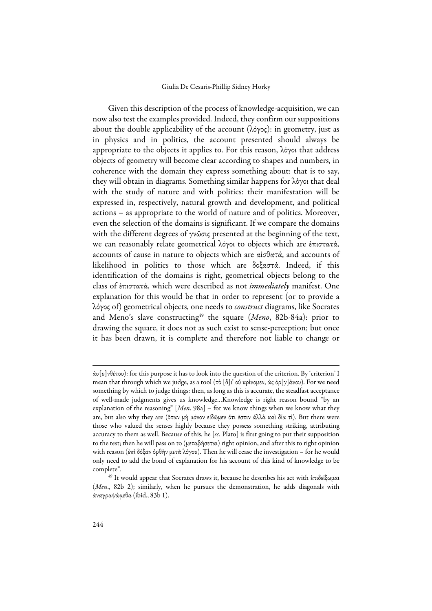Given this description of the process of knowledge-acquisition, we can now also test the examples provided. Indeed, they confirm our suppositions about the double applicability of the account (λόγος): in geometry, just as in physics and in politics, the account presented should always be appropriate to the objects it applies to. For this reason, λόγοι that address objects of geometry will become clear according to shapes and numbers, in coherence with the domain they express something about: that is to say, they will obtain in diagrams. Something similar happens for λόγοι that deal with the study of nature and with politics: their manifestation will be expressed in, respectively, natural growth and development, and political actions – as appropriate to the world of nature and of politics. Moreover, even the selection of the domains is significant. If we compare the domains with the different degrees of γνῶσις presented at the beginning of the text, we can reasonably relate geometrical λόγοι to objects which are ἐπιστατά, accounts of cause in nature to objects which are αἰσθατά, and accounts of likelihood in politics to those which are δοξαστά. Indeed, if this identification of the domains is right, geometrical objects belong to the class of ἐπιστατά, which were described as not *immediately* manifest. One explanation for this would be that in order to represent (or to provide a λόγος of) geometrical objects, one needs to *construct* diagrams, like Socrates and Meno's slave constructing<sup>49</sup> the square (Meno, 82b-84a): prior to drawing the square, it does not as such exist to sense-perception; but once it has been drawn, it is complete and therefore not liable to change or

 $\overline{a}$ 

ἀσ[υ]νθέτου): for this purpose it has to look into the question of the criterion. By 'criterion' I mean that through which we judge, as a tool (τὸ [δ]ι' οὗ κρίνομεν, ὡς ὀρ[γ]άνου). For we need something by which to judge things: then, as long as this is accurate, the steadfast acceptance of well-made judgments gives us knowledge…Knowledge is right reason bound "by an explanation of the reasoning" [*Men*. 98a] – for we know things when we know what they are, but also why they are (ὅταν μὴ μόνον εἰδῶμεν ὅτι ἐστιν ἀλλὰ καὶ δία τί). But there were those who valued the senses highly because they possess something striking, attributing accuracy to them as well. Because of this, he [*sc.* Plato] is first going to put their supposition to the test; then he will pass on to (μεταβήσεται) right opinion, and after this to right opinion with reason (ἐπὶ δόξαν ὀρθὴν μετὰ λόγου). Then he will cease the investigation – for he would only need to add the bond of explanation for his account of this kind of knowledge to be complete".

<sup>&</sup>lt;sup>49</sup> It would appear that Socrates draws it, because he describes his act with ἐπιδείξωμαι (*Men*., 82b 2); similarly, when he pursues the demonstration, he adds diagonals with ἀναγραψώμεθα (ibid., 83b 1).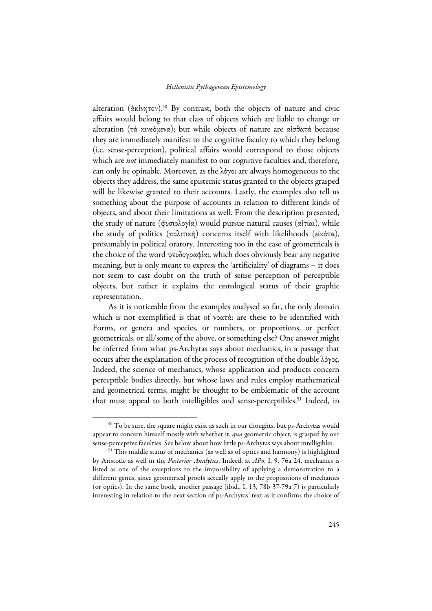alteration (ἀκίνητον).<sup>50</sup> By contrast, both the objects of nature and civic affairs would belong to that class of objects which are liable to change or alteration (τὰ κινεόμενα); but while objects of nature are αἰσθατά because they are immediately manifest to the cognitive faculty to which they belong (i.e. sense-perception), political affairs would correspond to those objects which are *not* immediately manifest to our cognitive faculties and, therefore, can only be opinable. Moreover, as the λόγοι are always homogeneous to the objects they address, the same epistemic status granted to the objects grasped will be likewise granted to their accounts. Lastly, the examples also tell us something about the purpose of accounts in relation to different kinds of objects, and about their limitations as well. From the description presented, the study of nature (φυσιολογία) would pursue natural causes (αἰτίαι), while the study of politics (πολιτική) concerns itself with likelihoods (εἰκότα), presumably in political oratory. Interesting too in the case of geometricals is the choice of the word ψευδογραφίαι, which does obviously bear any negative meaning, but is only meant to express the 'artificiality' of diagrams – it does not seem to cast doubt on the truth of sense perception of perceptible objects, but rather it explains the ontological status of their graphic representation.

As it is noticeable from the examples analysed so far, the only domain which is not exemplified is that of νοατά: are these to be identified with Forms, or genera and species, or numbers, or proportions, or perfect geometricals, or all/some of the above, or something else? One answer might be inferred from what ps-Archytas says about mechanics, in a passage that occurs after the explanation of the process of recognition of the double λόγος. Indeed, the science of mechanics, whose application and products concern perceptible bodies directly, but whose laws and rules employ mathematical and geometrical terms, might be thought to be emblematic of the account that must appeal to both intelligibles and sense-perceptibles.<sup>51</sup> Indeed, in

<sup>&</sup>lt;sup>50</sup> To be sure, the square might exist as such in our thoughts, but ps-Archytas would appear to concern himself mostly with whether it, *qua* geometric object, is grasped by our

sense-perceptive faculties. See below about how little ps-Archytas says about intelligibles. 51 This middle status of mechanics (as well as of optics and harmony) is highlighted by Aristotle as well in the *Posterior Analytics*. Indeed, at *APo*, I, 9, 76a 24, mechanics is listed as one of the exceptions to the impossibility of applying a demonstration to a different genus, since geometrical proofs actually apply to the propositions of mechanics (or optics). In the same book, another passage (ibid., I, 13, 78b 37-79a 7) is particularly interesting in relation to the next section of ps-Archytas' text as it confirms the choice of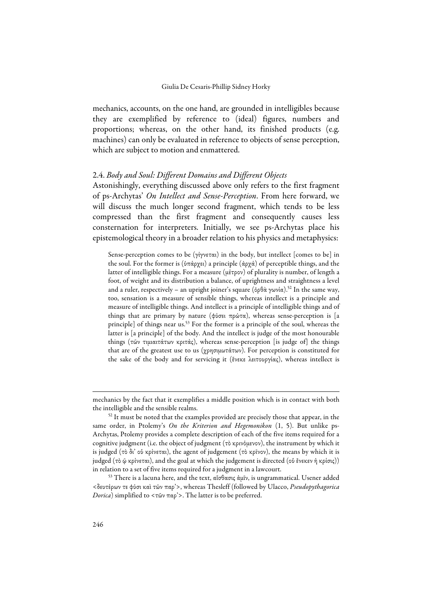mechanics, accounts, on the one hand, are grounded in intelligibles because they are exemplified by reference to (ideal) figures, numbers and proportions; whereas, on the other hand, its finished products (e.g. machines) can only be evaluated in reference to objects of sense perception, which are subject to motion and enmattered.

## 2.4. *Body and Soul: Different Domains and Different Objects*

Astonishingly, everything discussed above only refers to the first fragment of ps-Archytas' *On Intellect and Sense-Perception*. From here forward, we will discuss the much longer second fragment, which tends to be less compressed than the first fragment and consequently causes less consternation for interpreters. Initially, we see ps-Archytas place his epistemological theory in a broader relation to his physics and metaphysics:

Sense-perception comes to be (γίγνεται) in the body, but intellect [comes to be] in the soul. For the former is (ὑπάρχει) a principle (ἀρχά) of perceptible things, and the latter of intelligible things. For a measure (μέτρον) of plurality is number, of length a foot, of weight and its distribution a balance, of uprightness and straightness a level and a ruler, respectively – an upright joiner's square (ὀρθὰ γωνία).<sup>52</sup> In the same way, too, sensation is a measure of sensible things, whereas intellect is a principle and measure of intelligible things. And intellect is a principle of intelligible things and of things that are primary by nature (φύσει πρώτα), whereas sense-perception is [a principle] of things near us.<sup>53</sup> For the former is a principle of the soul, whereas the latter is [a principle] of the body. And the intellect is judge of the most honourable things (τῶν τιμιαιτάτων κριτάς), whereas sense-perception [is judge of] the things that are of the greatest use to us (χρησιμωτάτων). For perception is constituted for the sake of the body and for servicing it (ἕνεκε λειτουργίας), whereas intellect is

 $\overline{a}$ 

mechanics by the fact that it exemplifies a middle position which is in contact with both the intelligible and the sensible realms.

 $52$  It must be noted that the examples provided are precisely those that appear, in the same order, in Ptolemy's *On the Kriterion and Hegemonikon* (1, 5). But unlike ps-Archytas, Ptolemy provides a complete description of each of the five items required for a cognitive judgment (i.e. the object of judgment (τὸ κρινόμενον), the instrument by which it is judged (τὸ δι' οὗ κρίνεται), the agent of judgement (τὸ κρῖνον), the means by which it is judged (τὸ ῷ κρίνεται), and the goal at which the judgement is directed (οὗ ἔνεκεν ἡ κρίσις)) in relation to a set of five items required for a judgment in a lawcourt. 53 There is a lacuna here, and the text, αἴσθασις ἁμῖν, is ungrammatical. Usener added

<sup>&</sup>lt;δευτέρων τε φύσι καὶ τῶν παρ'>, whereas Thesleff (followed by Ulacco, *Pseudopythagorica Dorica*) simplified to <τῶν παρ'>. The latter is to be preferred.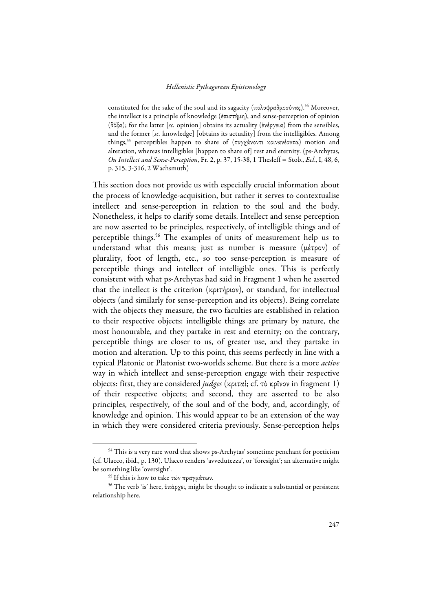constituted for the sake of the soul and its sagacity (πολυφραδμοσύνας).54 Moreover, the intellect is a principle of knowledge (ἐπιστήμη), and sense-perception of opinion (δόξα); for the latter [*sc.* opinion] obtains its actuality (ἐνέργεια) from the sensibles, and the former [*sc.* knowledge] [obtains its actuality] from the intelligibles. Among things,55 perceptibles happen to share of (τυγχάνοντι κοινανέοντα) motion and alteration, whereas intelligibles [happen to share of] rest and eternity. (ps-Archytas, *On Intellect and Sense-Perception*, Fr. 2, p. 37, 15-38, 1 Thesleff = Stob., *Ecl*., I, 48, 6, p. 315, 3-316, 2 Wachsmuth)

Τhis section does not provide us with especially crucial information about the process of knowledge-acquisition, but rather it serves to contextualise intellect and sense-perception in relation to the soul and the body. Nonetheless, it helps to clarify some details. Intellect and sense perception are now asserted to be principles, respectively, of intelligible things and of perceptible things.56 The examples of units of measurement help us to understand what this means; just as number is measure (μέτρον) of plurality, foot of length, etc., so too sense-perception is measure of perceptible things and intellect of intelligible ones. This is perfectly consistent with what ps-Archytas had said in Fragment 1 when he asserted that the intellect is the criterion (κριτήριον), or standard, for intellectual objects (and similarly for sense-perception and its objects). Being correlate with the objects they measure, the two faculties are established in relation to their respective objects: intelligible things are primary by nature, the most honourable, and they partake in rest and eternity; on the contrary, perceptible things are closer to us, of greater use, and they partake in motion and alteration. Up to this point, this seems perfectly in line with a typical Platonic or Platonist two-worlds scheme. But there is a more *active* way in which intellect and sense-perception engage with their respective objects: first, they are considered *judges* (κριταί; cf. τὸ κρῖνον in fragment 1) of their respective objects; and second, they are asserted to be also principles, respectively, of the soul and of the body, and, accordingly, of knowledge and opinion. This would appear to be an extension of the way in which they were considered criteria previously. Sense-perception helps

<sup>&</sup>lt;sup>54</sup> This is a very rare word that shows ps-Archytas' sometime penchant for poeticism (cf. Ulacco, ibid., p. 130). Ulacco renders 'avvedutezza', or 'foresight'; an alternative might be something like 'oversight'. 55 If this is how to take τῶν πραγμάτων.

<sup>56</sup> The verb 'is' here, ὑπάρχει, might be thought to indicate a substantial or persistent relationship here.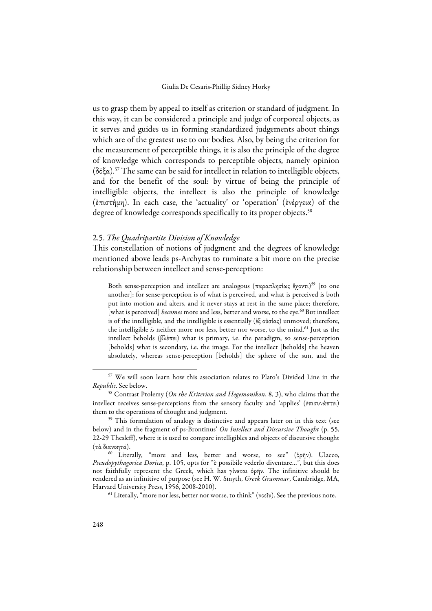us to grasp them by appeal to itself as criterion or standard of judgment. In this way, it can be considered a principle and judge of corporeal objects, as it serves and guides us in forming standardized judgements about things which are of the greatest use to our bodies. Also, by being the criterion for the measurement of perceptible things, it is also the principle of the degree of knowledge which corresponds to perceptible objects, namely opinion (δόξα).57 The same can be said for intellect in relation to intelligible objects, and for the benefit of the soul: by virtue of being the principle of intelligible objects, the intellect is also the principle of knowledge (ἐπιστήμη). In each case, the 'actuality' or 'operation' (ἐνέργεια) of the degree of knowledge corresponds specifically to its proper objects.<sup>58</sup>

## 2.5. *The Quadripartite Division of Knowledge*

This constellation of notions of judgment and the degrees of knowledge mentioned above leads ps-Archytas to ruminate a bit more on the precise relationship between intellect and sense-perception:

Both sense-perception and intellect are analogous (παραπλησίως ἔχοντι) <sup>59</sup> [to one another]: for sense-perception is of what is perceived, and what is perceived is both put into motion and alters, and it never stays at rest in the same place; therefore, [what is perceived] *becomes* more and less, better and worse, to the eye.<sup>60</sup> But intellect is of the intelligible, and the intelligible is essentially (ἐξ οὐσίας) unmoved; therefore, the intelligible *is* neither more nor less, better nor worse, to the mind.<sup>61</sup> Just as the intellect beholds (βλέπει) what is primary, i.e. the paradigm, so sense-perception [beholds] what is secondary, i.e. the image. For the intellect [beholds] the heaven absolutely, whereas sense-perception [beholds] the sphere of the sun, and the

 <sup>57</sup> We will soon learn how this association relates to Plato's Divided Line in the *Republic*. See below.

<sup>58</sup> Contrast Ptolemy (*On the Kriterion and Hegemonikon*, 8, 3), who claims that the intellect receives sense-perceptions from the sensory faculty and 'applies' (ἐπισυνάπτει) them to the operations of thought and judgment.

<sup>59</sup> This formulation of analogy is distinctive and appears later on in this text (see below) and in the fragment of ps-Brontinus' *On Intellect and Discursive Thought* (p. 55, 22-29 Thesleff), where it is used to compare intelligibles and objects of discursive thought (τὰ διανοητά).

<sup>60</sup> Literally, "more and less, better and worse, to see" (ὁρῆν). Ulacco, *Pseudopythagorica Dorica*, p. 105, opts for "è possibile vederlo diventare…", but this does not faithfully represent the Greek, which has γίνεται ὁρῆν. The infinitive should be rendered as an infinitive of purpose (see H. W. Smyth, *Greek Grammar*, Cambridge, MA, Harvard University Press, 1956, 2008-2010). 61 Literally, "more nor less, better nor worse, to think" (νοεῖν). See the previous note.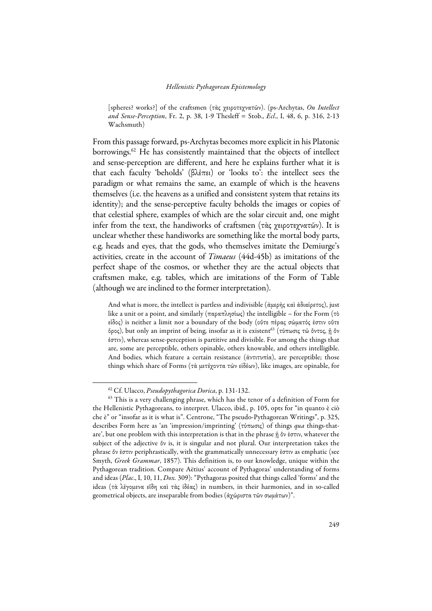[spheres? works?] of the craftsmen (τὰς χειροτεχνατῶν). (ps-Archytas, *On Intellect and Sense-Perception*, Fr. 2, p. 38, 1-9 Thesleff = Stob., *Ecl*., I, 48, 6, p. 316, 2-13 Wachsmuth)

From this passage forward, ps-Archytas becomes more explicit in his Platonic borrowings.62 He has consistently maintained that the objects of intellect and sense-perception are different, and here he explains further what it is that each faculty 'beholds' (βλέπει) or 'looks to': the intellect sees the paradigm or what remains the same, an example of which is the heavens themselves (i.e. the heavens as a unified and consistent system that retains its identity); and the sense-perceptive faculty beholds the images or copies of that celestial sphere, examples of which are the solar circuit and, one might infer from the text, the handiworks of craftsmen (τὰς χειροτεχνατῶν). It is unclear whether these handiworks are something like the mortal body parts, e.g. heads and eyes, that the gods, who themselves imitate the Demiurge's activities, create in the account of *Timaeus* (44d-45b) as imitations of the perfect shape of the cosmos, or whether they are the actual objects that craftsmen make, e.g. tables, which are imitations of the Form of Table (although we are inclined to the former interpretation).

And what is more, the intellect is partless and indivisible (ἀμερὴς καὶ ἀδιαίρετος), just like a unit or a point, and similarly (παραπλησίως) the intelligible – for the Form (τὸ εἶδος) is neither a limit nor a boundary of the body (οὔτε πέρας σώματός ἐστιν οὔτε όρος), but only an imprint of being, insofar as it is existent<sup>63</sup> (τύπωσις τῶ ὄντος, ἦ ὄν ἐστιν), whereas sense-perception is partitive and divisible. For among the things that are, some are perceptible, others opinable, others knowable, and others intelligible. And bodies, which feature a certain resistance (ἀντιτυπία), are perceptible; those things which share of Forms (τὰ μετέχοντα τῶν εἰδέων), like images, are opinable, for

 <sup>62</sup> Cf. Ulacco, *Pseudopythagorica Dorica*, p. 131-132.

<sup>&</sup>lt;sup>63</sup> This is a very challenging phrase, which has the tenor of a definition of Form for the Hellenistic Pythagoreans, to interpret. Ulacco, ibid*.*, p. 105, opts for "in quanto è ciò che è" or "insofar as it is what is". Centrone, "The pseudo-Pythagorean Writings", p. 325, describes Form here as 'an 'impression/imprinting' (τύπωσις) of things *qua* things-thatare', but one problem with this interpretation is that in the phrase ᾗ ὄν ἐστιν, whatever the subject of the adjective ὄν is, it is singular and not plural. Our interpretation takes the phrase ὄν ἐστιν periphrastically, with the grammatically unnecessary ἐστιν as emphatic (see Smyth, *Greek Grammar*, 1857). This definition is, to our knowledge, unique within the Pythagorean tradition. Compare Aëtius' account of Pythagoras' understanding of forms and ideas (*Plac*., I, 10, 11, *Dox.* 309): "Pythagoras posited that things called 'forms' and the ideas (τὰ λέγομενα εἴδη καὶ τὰς ἰδέας) in numbers, in their harmonies, and in so-called geometrical objects, are inseparable from bodies (ἀχώριστα τῶν σωμάτων)".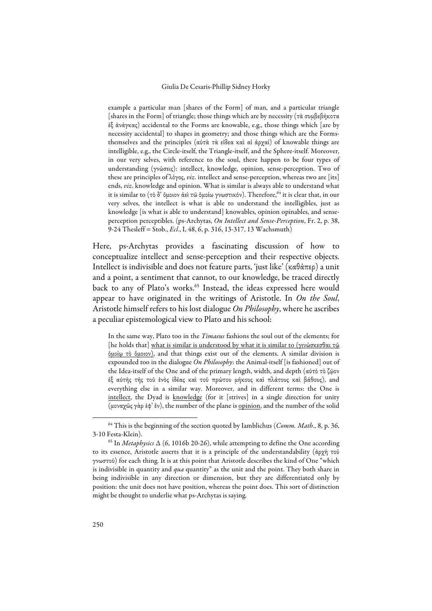example a particular man [shares of the Form] of man, and a particular triangle [shares in the Form] of triangle; those things which are by necessity (τὰ συμβεβήκοτα ἐξ ἀνάγκας) accidental to the Forms are knowable, e.g., those things which [are by necessity accidental] to shapes in geometry; and those things which are the Formsthemselves and the principles (αὐτὰ τὰ εἴδεα καὶ αἱ ἀρχαί) of knowable things are intelligible, e.g., the Circle-itself, the Triangle-itself, and the Sphere-itself. Moreover, in our very selves, with reference to the soul, there happen to be four types of understanding (γνώσεις): intellect, knowledge, opinion, sense-perception. Two of these are principles of λόγος, *viz*. intellect and sense-perception, whereas two are [its] ends, *viz*. knowledge and opinion. What is similar is always able to understand what it is similar to (τὸ δ' ὅμοιον ἀεὶ τῶ ὅμοίω γνωστικόν). Therefore,<sup>64</sup> it is clear that, in our very selves, the intellect is what is able to understand the intelligibles, just as knowledge [is what is able to understand] knowables, opinion opinables, and senseperception perceptibles. (ps-Archytas, *On Intellect and Sense-Perception*, Fr. 2, p. 38, 9-24 Thesleff = Stob., *Ecl*., I, 48, 6, p. 316, 13-317, 13 Wachsmuth)

Here, ps-Archytas provides a fascinating discussion of how to conceptualize intellect and sense-perception and their respective objects. Intellect is indivisible and does not feature parts, 'just like' (καθάπερ) a unit and a point, a sentiment that cannot, to our knowledge, be traced directly back to any of Plato's works.<sup>65</sup> Instead, the ideas expressed here would appear to have originated in the writings of Aristotle. In *On the Soul*, Aristotle himself refers to his lost dialogue *On Philosophy*, where he ascribes a peculiar epistemological view to Plato and his school:

In the same way, Plato too in the *Timaeus* fashions the soul out of the elements; for [he holds that] what is similar is understood by what it is similar to (γινώσκεσθαι τῷ ὁμοίῳ τὸ ὅμοιον), and that things exist out of the elements. A similar division is expounded too in the dialogue *On Philosophy*: the Animal-itself [is fashioned] out of the Idea-itself of the One and of the primary length, width, and depth (αὐτὸ τὸ ζῷον ἐξ αὐτῆς τῆς τοῦ ἑνὸς ἰδέας καὶ τοῦ πρώτου μήκους καὶ πλάτους καὶ βάθους), and everything else in a similar way. Moreover, and in different terms: the One is intellect, the Dyad is knowledge (for it [strives] in a single direction for unity (μοναχῶς γὰρ ἐφ' ἕν), the number of the plane is opinion, and the number of the solid

 <sup>64</sup> This is the beginning of the section quoted by Iamblichus (*Comm. Math*., 8, p. 36, 3-10 Festa-Klein).

<sup>&</sup>lt;sup>65</sup> In *Metaphysics*  $\Delta$  (6, 1016b 20-26), while attempting to define the One according to its essence, Aristotle asserts that it is a principle of the understandability (ἀρχὴ τοῦ γνωστοῦ) for each thing. It is at this point that Aristotle describes the kind of One "which is indivisible in quantity and *qua* quantity" as the unit and the point. They both share in being indivisible in any direction or dimension, but they are differentiated only by position: the unit does not have position, whereas the point does. This sort of distinction might be thought to underlie what ps-Archytas is saying.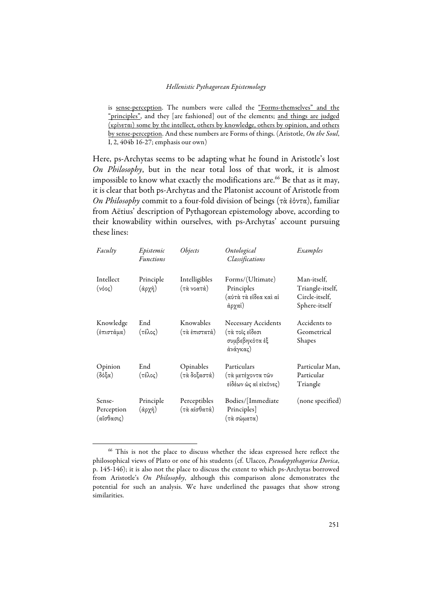is sense-perception. The numbers were called the "Forms-themselves" and the "principles", and they [are fashioned] out of the elements; and things are judged (κρίνεται) some by the intellect, others by knowledge, others by opinion, and others by sense-perception. And these numbers are Forms of things. (Aristotle, *On the Soul*, I, 2, 404b 16-27; emphasis our own)

Here, ps-Archytas seems to be adapting what he found in Aristotle's lost *On Philosophy*, but in the near total loss of that work, it is almost impossible to know what exactly the modifications are.<sup>66</sup> Be that as it may, it is clear that both ps-Archytas and the Platonist account of Aristotle from *On Philosophy* commit to a four-fold division of beings (τὰ ἐόντα), familiar from Aëtius' description of Pythagorean epistemology above, according to their knowability within ourselves, with ps-Archytas' account pursuing these lines:

| Faculty                               | Epistemic<br>Functions | <i>Objects</i>               | Ontological<br>Classifications                                       | Examples                                                           |
|---------------------------------------|------------------------|------------------------------|----------------------------------------------------------------------|--------------------------------------------------------------------|
| Intellect<br>$(v\circ\circ\varsigma)$ | Principle<br>(ἀρχή)    | Intelligibles<br>(τὰ νοατά)  | Forms/(Ultimate)<br>Principles<br>(αὐτὰ τὰ εἴδεα καὶ αἱ<br>άρχαί)    | Man-itself,<br>Triangle-itself,<br>Circle-itself,<br>Sphere-itself |
| Knowledge<br>(ἐπιστάμα)               | End<br>(τέλος)         | Knowables<br>(τὰ ἐπιστατά)   | Necessary Accidents<br>(τὰ τοῖς εἴδεσι<br>συμβεβηκότα έξ<br>άνάγκας) | Accidents to<br>Geometrical<br>Shapes                              |
| Opinion<br>$(\delta$ όξα)             | End<br>(τέλος)         | Opinables<br>(τὰ δοξαστά)    | Particulars<br>(τὰ μετέχοντα τῶν<br>εἰδέων ὡς αἱ εἰκόνες)            | Particular Man,<br>Particular<br>Triangle                          |
| Sense-<br>Perception<br>(αἴσθασις)    | Principle<br>(άρχή)    | Perceptibles<br>(τὰ αἰσθατά) | Bodies/[Immediate<br>Principles<br>(τὰ σώματα)                       | (none specified)                                                   |

 <sup>66</sup> This is not the place to discuss whether the ideas expressed here reflect the philosophical views of Plato or one of his students (cf. Ulacco, *Pseudopythagorica Dorica*, p. 145-146); it is also not the place to discuss the extent to which ps-Archytas borrowed from Aristotle's *On Philosophy*, although this comparison alone demonstrates the potential for such an analysis. We have underlined the passages that show strong similarities.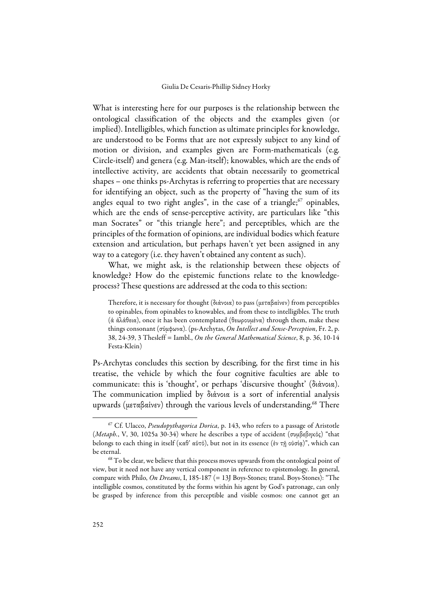What is interesting here for our purposes is the relationship between the ontological classification of the objects and the examples given (or implied). Intelligibles, which function as ultimate principles for knowledge, are understood to be Forms that are not expressly subject to any kind of motion or division, and examples given are Form-mathematicals (e.g. Circle-itself) and genera (e.g. Man-itself); knowables, which are the ends of intellective activity, are accidents that obtain necessarily to geometrical shapes – one thinks ps-Archytas is referring to properties that are necessary for identifying an object, such as the property of "having the sum of its angles equal to two right angles", in the case of a triangle; $67$  opinables, which are the ends of sense-perceptive activity, are particulars like "this man Socrates" or "this triangle here"; and perceptibles, which are the principles of the formation of opinions, are individual bodies which feature extension and articulation, but perhaps haven't yet been assigned in any way to a category (i.e. they haven't obtained any content as such).

What, we might ask, is the relationship between these objects of knowledge? How do the epistemic functions relate to the knowledgeprocess? These questions are addressed at the coda to this section:

Therefore, it is necessary for thought (διάνοια) to pass (μεταβαίνεν) from perceptibles to opinables, from opinables to knowables, and from these to intelligibles. The truth (ἁ ἀλάθεια), once it has been contemplated (θεωρουμένα) through them, make these things consonant (σύμφωνα). (ps-Archytas, *On Intellect and Sense-Perception*, Fr. 2, p. 38, 24-39, 3 Thesleff = Iambl., *On the General Mathematical Science*, 8, p. 36, 10-14 Festa-Klein)

Ps-Archytas concludes this section by describing, for the first time in his treatise, the vehicle by which the four cognitive faculties are able to communicate: this is 'thought', or perhaps 'discursive thought' (διάνοια). The communication implied by διάνοια is a sort of inferential analysis upwards (μεταβαίνεν) through the various levels of understanding.<sup>68</sup> There

 <sup>67</sup> Cf. Ulacco, *Pseudopythagorica Dorica*, p. 143, who refers to a passage of Aristotle (*Metaph.*, V, 30, 1025a 30-34) where he describes a type of accident (συμβεβηκός) "that belongs to each thing in itself (καθ' αὑτό), but not in its essence (ἐν τῇ οὐσίᾳ)", which can be eternal.

 $68$  To be clear, we believe that this process moves upwards from the ontological point of view, but it need not have any vertical component in reference to epistemology. In general, compare with Philo, *On Dreams*, I, 185-187 (= 13J Boys-Stones; transl. Boys-Stones): "The intelligible cosmos, constituted by the forms within his agent by God's patronage, can only be grasped by inference from this perceptible and visible cosmos: one cannot get an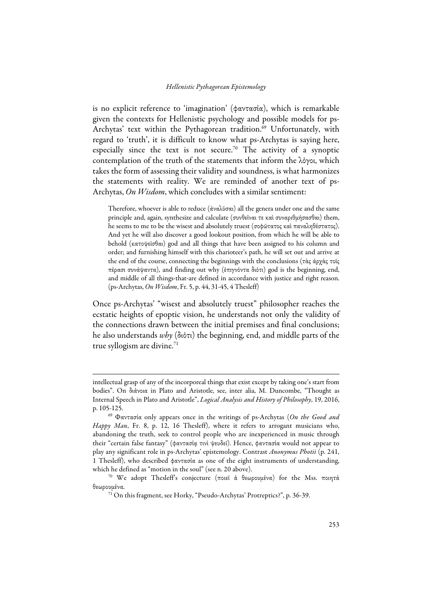is no explicit reference to 'imagination' (φαντασία), which is remarkable given the contexts for Hellenistic psychology and possible models for ps-Archytas' text within the Pythagorean tradition.<sup>69</sup> Unfortunately, with regard to 'truth', it is difficult to know what ps-Archytas is saying here, especially since the text is not secure.<sup>70</sup> The activity of a synoptic contemplation of the truth of the statements that inform the λόγοι, which takes the form of assessing their validity and soundness, is what harmonizes the statements with reality. We are reminded of another text of ps-Archytas, *On Wisdom*, which concludes with a similar sentiment:

Therefore, whoever is able to reduce (ἀναλῦσαι) all the genera under one and the same principle and, again, synthesize and calculate (συνθεῖναι τε καὶ συναριθμήσασθαι) them, he seems to me to be the wisest and absolutely truest (σοφῶτατος καὶ παναληθέστατος). And yet he will also discover a good lookout position, from which he will be able to behold (κατοψεῖσθαι) god and all things that have been assigned to his column and order; and furnishing himself with this charioteer's path, he will set out and arrive at the end of the course, connecting the beginnings with the conclusions (τὰς ἀρχὰς τοῖς πέρασι συνάψαντα), and finding out why (ἐπιγνόντα διότι) god is the beginning, end, and middle of all things-that-are defined in accordance with justice and right reason. (ps-Archytas, *On Wisdom*, Fr. 5, p. 44, 31-45, 4 Thesleff)

Once ps-Archytas' "wisest and absolutely truest" philosopher reaches the ecstatic heights of epoptic vision, he understands not only the validity of the connections drawn between the initial premises and final conclusions; he also understands *why* (διότι) the beginning, end, and middle parts of the true syllogism are divine.<sup>71</sup>

 $\overline{a}$ 

intellectual grasp of any of the incorporeal things that exist except by taking one's start from bodies". On διάνοια in Plato and Aristotle, see, inter alia, M. Duncombe, "Thought as Internal Speech in Plato and Aristotle", *Logical Analysis and History of Philosophy*, 19, 2016, p. 105-125.

<sup>69</sup> Φαντασία only appears once in the writings of ps-Archytas (*On the Good and Happy Man*, Fr. 8, p. 12, 16 Thesleff), where it refers to arrogant musicians who, abandoning the truth, seek to control people who are inexperienced in music through their "certain false fantasy" (φαντασίᾳ τινὶ ψευδεῖ). Hence, φαντασία would not appear to play any significant role in ps-Archytas' epistemology. Contrast *Anonymus Photii* (p. 241, 1 Thesleff), who described φαντασία as one of the eight instruments of understanding, which he defined as "motion in the soul" (see n. 20 above).

<sup>70</sup> We adopt Thesleff's conjecture (ποιεῖ ἁ θεωρουμένα) for the Mss. ποιητά θεωρουμένα.

<sup>71</sup> On this fragment, see Horky, "Pseudo-Archytas' Protreptics?", p. 36-39.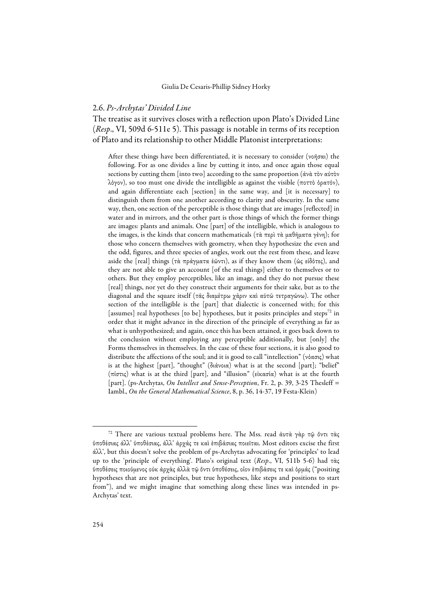## 2.6. *Ps-Archytas' Divided Line*

The treatise as it survives closes with a reflection upon Plato's Divided Line (*Resp*., VI, 509d 6-511e 5). This passage is notable in terms of its reception of Plato and its relationship to other Middle Platonist interpretations:

After these things have been differentiated, it is necessary to consider (νοῆσαι) the following. For as one divides a line by cutting it into, and once again those equal sections by cutting them [into two] according to the same proportion (ἀνὰ τὸν αὐτὸν λόγον), so too must one divide the intelligible as against the visible (ποττὸ ὁρατόν), and again differentiate each [section] in the same way, and [it is necessary] to distinguish them from one another according to clarity and obscurity. In the same way, then, one section of the perceptible is those things that are images [reflected] in water and in mirrors, and the other part is those things of which the former things are images: plants and animals. One [part] of the intelligible, which is analogous to the images, is the kinds that concern mathematicals (τὰ περὶ τὰ μαθήματα γένη); for those who concern themselves with geometry, when they hypothesize the even and the odd, figures, and three species of angles, work out the rest from these, and leave aside the [real] things (τὰ πράγματα ἐῶντι), as if they know them (ὡς εἰδότες), and they are not able to give an account [of the real things] either to themselves or to others. But they employ perceptibles, like an image, and they do not pursue these [real] things, nor yet do they construct their arguments for their sake, but as to the diagonal and the square itself (τᾶς διαμέτρω χάριν καὶ αὐτῶ τετραγώνω). The other section of the intelligible is the [part] that dialectic is concerned with; for this [assumes] real hypotheses [to be] hypotheses, but it posits principles and steps<sup>72</sup> in order that it might advance in the direction of the principle of everything as far as what is unhypothesized; and again, once this has been attained, it goes back down to the conclusion without employing any perceptible additionally, but [only] the Forms themselves in themselves. In the case of these four sections, it is also good to distribute the affections of the soul; and it is good to call "intellection" (νόασις) what is at the highest [part], "thought" (διάνοια) what is at the second [part]; "belief" (πίστις) what is at the third [part], and "illusion" (εἰκασία) what is at the fourth [part]. (ps-Archytas, *On Intellect and Sense-Perception*, Fr. 2, p. 39, 3-25 Thesleff = Iambl., *On the General Mathematical Science*, 8, p. 36, 14-37, 19 Festa-Klein)

<sup>&</sup>lt;sup>72</sup> There are various textual problems here. The Mss. read ἀυτὰ γὰρ τῷ ὄντι τὰς ὑποθέσιας ἀλλ' ὑποθέσιας, ἀλλ' ἀρχάς τε καὶ ἐπιβάσιας ποιεῖται. Most editors excise the first ἀλλ', but this doesn't solve the problem of ps-Archytas advocating for 'principles' to lead up to the 'principle of everything'. Plato's original text (*Resp*., VI, 511b 5-6) had τὰς ὑποθέσεις ποιούμενος οὐκ ἀρχὰς ἀλλὰ τῷ ὄντι ὑποθέσεις, οἷον ἐπιβάσεις τε καὶ ὁρμάς ("positing hypotheses that are not principles, but true hypotheses, like steps and positions to start from"), and we might imagine that something along these lines was intended in ps-Archytas' text.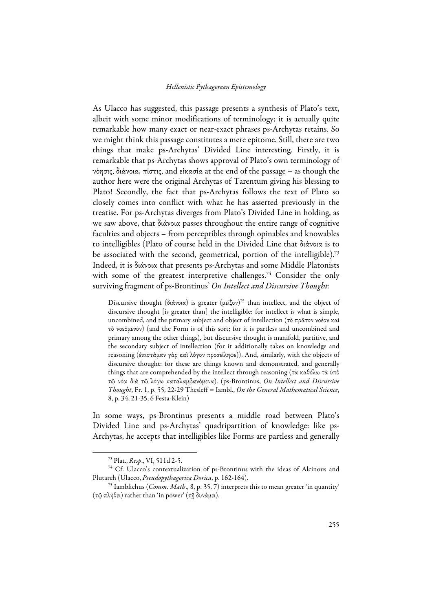As Ulacco has suggested, this passage presents a synthesis of Plato's text, albeit with some minor modifications of terminology; it is actually quite remarkable how many exact or near-exact phrases ps-Archytas retains. So we might think this passage constitutes a mere epitome. Still, there are two things that make ps-Archytas' Divided Line interesting. Firstly, it is remarkable that ps-Archytas shows approval of Plato's own terminology of νόησις, διάνοια, πίστις, and εἰκασία at the end of the passage – as though the author here were the original Archytas of Tarentum giving his blessing to Plato! Secondly, the fact that ps-Archytas follows the text of Plato so closely comes into conflict with what he has asserted previously in the treatise. For ps-Archytas diverges from Plato's Divided Line in holding, as we saw above, that διάνοια passes throughout the entire range of cognitive faculties and objects – from perceptibles through opinables and knowables to intelligibles (Plato of course held in the Divided Line that διάνοια is to be associated with the second, geometrical, portion of the intelligible).<sup>73</sup> Indeed, it is διάνοια that presents ps-Archytas and some Middle Platonists with some of the greatest interpretive challenges.<sup>74</sup> Consider the only surviving fragment of ps-Brontinus' *On Intellect and Discursive Thought*:

Discursive thought (διάνοια) is greater (μεῖζον) <sup>75</sup> than intellect, and the object of discursive thought [is greater than] the intelligible: for intellect is what is simple, uncombined, and the primary subject and object of intellection (τὸ πρᾶτον νοέον καὶ τὸ νοεόμενον) (and the Form is of this sort; for it is partless and uncombined and primary among the other things), but discursive thought is manifold, partitive, and the secondary subject of intellection (for it additionally takes on knowledge and reasoning (ἐπιστάμαν γὰρ καὶ λόγον προσείληφε)). And, similarly, with the objects of discursive thought: for these are things known and demonstrated, and generally things that are comprehended by the intellect through reasoning (τὰ καθόλω τὰ ὑπὸ τῶ νόω διὰ τῶ λόγω καταλαμβανόμενα). (ps-Brontinus, *On Intellect and Discursive Thought*, Fr. 1, p. 55, 22-29 Thesleff = Iambl., *On the General Mathematical Science*, 8, p. 34, 21-35, 6 Festa-Klein)

In some ways, ps-Brontinus presents a middle road between Plato's Divided Line and ps-Archytas' quadripartition of knowledge: like ps-Archytas, he accepts that intelligibles like Forms are partless and generally

 <sup>73</sup> Plat., *Resp*., VI, 511d 2-5.

<sup>74</sup> Cf. Ulacco's contextualization of ps-Brontinus with the ideas of Alcinous and Plutarch (Ulacco, *Pseudopythagorica Dorica*, p. 162-164).

<sup>75</sup> Iamblichus (*Comm. Math*., 8, p. 35, 7) interprets this to mean greater 'in quantity' (τῷ πλήθει) rather than 'in power' (τῇ δυνάμει).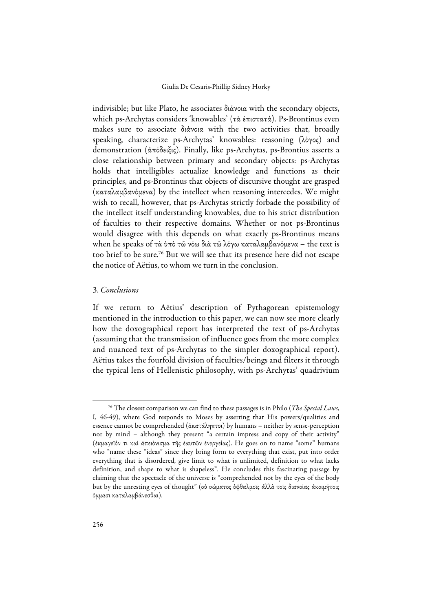indivisible; but like Plato, he associates διάνοια with the secondary objects, which ps-Archytas considers 'knowables' (τὰ ἐπιστατά). Ps-Brontinus even makes sure to associate διάνοια with the two activities that, broadly speaking, characterize ps-Archytas' knowables: reasoning (λόγος) and demonstration (ἀπόδειξις). Finally, like ps-Archytas, ps-Brontius asserts a close relationship between primary and secondary objects: ps-Archytas holds that intelligibles actualize knowledge and functions as their principles, and ps-Brontinus that objects of discursive thought are grasped (καταλαμβανόμενα) by the intellect when reasoning intercedes. We might wish to recall, however, that ps-Archytas strictly forbade the possibility of the intellect itself understanding knowables, due to his strict distribution of faculties to their respective domains. Whether or not ps-Brontinus would disagree with this depends on what exactly ps-Brontinus means when he speaks of τὰ ὑπὸ τῶ νόω διὰ τῶ λόγω καταλαμβανόμενα – the text is too brief to be sure.76 But we will see that its presence here did not escape the notice of Aëtius, to whom we turn in the conclusion.

# 3. *Conclusions*

If we return to Aëtius' description of Pythagorean epistemology mentioned in the introduction to this paper, we can now see more clearly how the doxographical report has interpreted the text of ps-Archytas (assuming that the transmission of influence goes from the more complex and nuanced text of ps-Archytas to the simpler doxographical report). Aëtius takes the fourfold division of faculties/beings and filters it through the typical lens of Hellenistic philosophy, with ps-Archytas' quadrivium

 <sup>76</sup> The closest comparison we can find to these passages is in Philo (*The Special Laws*, I, 46-49), where God responds to Moses by asserting that His powers/qualities and essence cannot be comprehended (ἀκατάληπτοι) by humans – neither by sense-perception nor by mind – although they present "a certain impress and copy of their activity" (ἐκμαγεῖόν τι καὶ ἀπειόνισμα τῆς ἑαυτῶν ἐνεργείας). He goes on to name "some" humans who "name these "ideas" since they bring form to everything that exist, put into order everything that is disordered, give limit to what is unlimited, definition to what lacks definition, and shape to what is shapeless". He concludes this fascinating passage by claiming that the spectacle of the universe is "comprehended not by the eyes of the body but by the unresting eyes of thought" (οὐ σώματος ὀφθαλμοῖς ἀλλὰ τοῖς διανοίας ἀκοιμήτοις ὄμμασι καταλαμβάνεσθαι).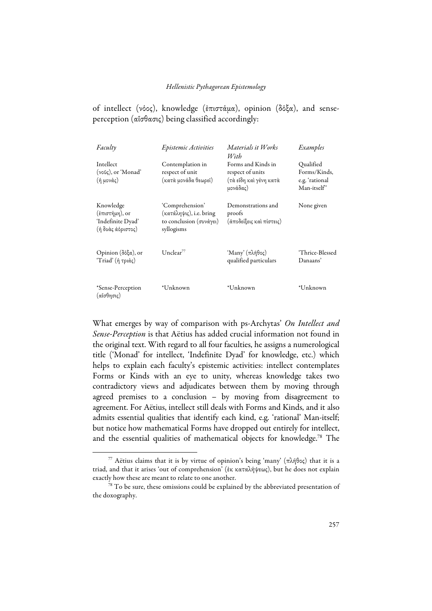of intellect (νόος), knowledge (ἐπιστάμα), opinion (δόξα), and senseperception (αἴσθασις) being classified accordingly:

| Faculty                                                               | <i>Epistemic Activities</i>                                                         | Materials it Works<br>With                                                   | Examples                                                   |
|-----------------------------------------------------------------------|-------------------------------------------------------------------------------------|------------------------------------------------------------------------------|------------------------------------------------------------|
| Intellect<br>(νοῦς), or 'Monad'<br>(ή μονάς)                          | Contemplation in<br>respect of unit<br>(κατά μονάδα θεωρεῖ)                         | Forms and Kinds in<br>respect of units<br>(τὰ εἴδη καὶ γἐνη κατὰ<br>μονάδας) | Oualified<br>Forms/Kinds.<br>e.g. 'rational<br>Man-itself' |
| Knowledge<br>(ἐπιστήμη), or<br>'Indefinite Dyad'<br>(ή δυὰς ἀόριστος) | 'Comprehension'<br>(κατάληψις), i.e. bring<br>to conclusion (συνάγει)<br>syllogisms | Demonstrations and<br>proofs<br>(άποδείξεις καὶ πίστεις)                     | None given                                                 |
| Opinion $(\delta \delta \xi \alpha)$ , or<br>'Triad' (ή τριάς)        | Unclear <sup>77</sup>                                                               | <i>'</i> Many' (πλῆθος)<br>qualified particulars                             | 'Thrice-Blessed<br>Danaans'                                |
| *Sense-Perception<br>(αἴσθησις)                                       | *Unknown                                                                            | *Unknown                                                                     | *Unknown                                                   |

What emerges by way of comparison with ps-Archytas' *On Intellect and Sense-Perception* is that Aëtius has added crucial information not found in the original text. With regard to all four faculties, he assigns a numerological title ('Monad' for intellect, 'Indefinite Dyad' for knowledge, etc.) which helps to explain each faculty's epistemic activities: intellect contemplates Forms or Kinds with an eye to unity, whereas knowledge takes two contradictory views and adjudicates between them by moving through agreed premises to a conclusion – by moving from disagreement to agreement. For Aëtius, intellect still deals with Forms and Kinds, and it also admits essential qualities that identify each kind, e.g. 'rational' Man-itself; but notice how mathematical Forms have dropped out entirely for intellect, and the essential qualities of mathematical objects for knowledge.<sup>78</sup> The

<sup>&</sup>lt;sup>77</sup> Aëtius claims that it is by virtue of opinion's being 'many' (πλήθος) that it is a triad, and that it arises 'out of comprehension' (ἐκ καταλήψεως), but he does not explain exactly how these are meant to relate to one another.

 $78$  To be sure, these omissions could be explained by the abbreviated presentation of the doxography.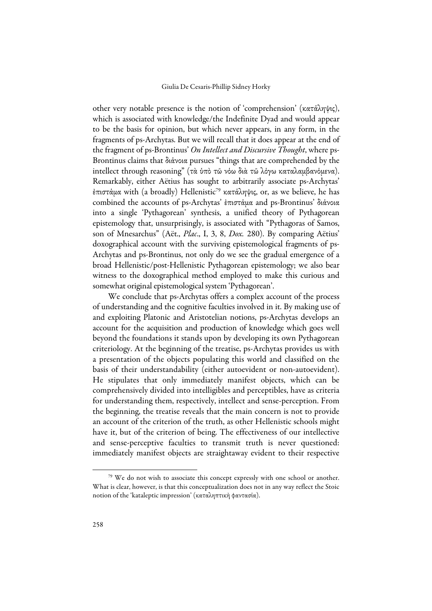other very notable presence is the notion of 'comprehension' (κατάληψις), which is associated with knowledge/the Indefinite Dyad and would appear to be the basis for opinion, but which never appears, in any form, in the fragments of ps-Archytas. But we will recall that it does appear at the end of the fragment of ps-Brontinus' *On Intellect and Discursive Thought*, where ps-Brontinus claims that διάνοια pursues "things that are comprehended by the intellect through reasoning" (τὰ ὑπὸ τῶ νόω διὰ τῶ λόγω καταλαμβανόμενα). Remarkably, either Aëtius has sought to arbitrarily associate ps-Archytas' έπιστάμα with (a broadly) Hellenistic<sup>79</sup> κατάληψις, or, as we believe, he has combined the accounts of ps-Archytas' ἐπιστάμα and ps-Brontinus' διάνοια into a single 'Pythagorean' synthesis, a unified theory of Pythagorean epistemology that, unsurprisingly, is associated with "Pythagoras of Samos, son of Mnesarchus" (Aët., *Plac*., I, 3, 8, *Dox.* 280). By comparing Aëtius' doxographical account with the surviving epistemological fragments of ps-Archytas and ps-Brontinus, not only do we see the gradual emergence of a broad Hellenistic/post-Hellenistic Pythagorean epistemology; we also bear witness to the doxographical method employed to make this curious and somewhat original epistemological system 'Pythagorean'.

We conclude that ps-Archytas offers a complex account of the process of understanding and the cognitive faculties involved in it. By making use of and exploiting Platonic and Aristotelian notions, ps-Archytas develops an account for the acquisition and production of knowledge which goes well beyond the foundations it stands upon by developing its own Pythagorean criteriology. At the beginning of the treatise, ps-Archytas provides us with a presentation of the objects populating this world and classified on the basis of their understandability (either autoevident or non-autoevident). He stipulates that only immediately manifest objects, which can be comprehensively divided into intelligibles and perceptibles, have as criteria for understanding them, respectively, intellect and sense-perception. From the beginning, the treatise reveals that the main concern is not to provide an account of the criterion of the truth, as other Hellenistic schools might have it, but of the criterion of being. The effectiveness of our intellective and sense-perceptive faculties to transmit truth is never questioned: immediately manifest objects are straightaway evident to their respective

<sup>&</sup>lt;sup>79</sup> We do not wish to associate this concept expressly with one school or another. What is clear, however, is that this conceptualization does not in any way reflect the Stoic notion of the 'kataleptic impression' (καταληπτικὴ φαντασία).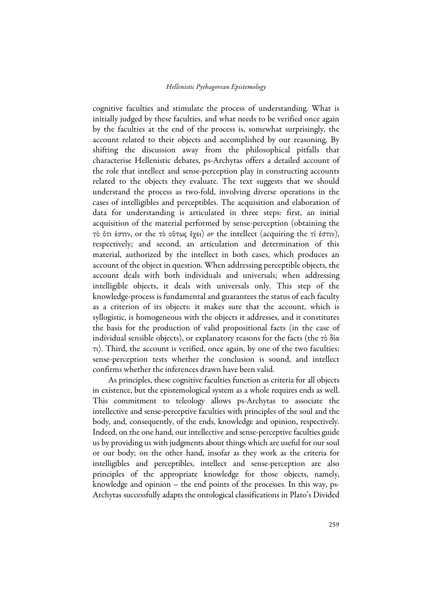cognitive faculties and stimulate the process of understanding. What is initially judged by these faculties, and what needs to be verified once again by the faculties at the end of the process is, somewhat surprisingly, the account related to their objects and accomplished by our reasoning. By shifting the discussion away from the philosophical pitfalls that characterise Hellenistic debates, ps-Archytas offers a detailed account of the role that intellect and sense-perception play in constructing accounts related to the objects they evaluate. The text suggests that we should understand the process as two-fold, involving diverse operations in the cases of intelligibles and perceptibles. The acquisition and elaboration of data for understanding is articulated in three steps: first, an initial acquisition of the material performed by sense-perception (obtaining the τὸ ὅτι ἐστιν, or the τὸ οὕτως ἔχει) *or* the intellect (acquiring the τί ἐστιν), respectively; and second, an articulation and determination of this material, authorized by the intellect in both cases, which produces an account of the object in question. When addressing perceptible objects, the account deals with both individuals and universals; when addressing intelligible objects, it deals with universals only. This step of the knowledge-process is fundamental and guarantees the status of each faculty as a criterion of its objects: it makes sure that the account, which is syllogistic, is homogeneous with the objects it addresses, and it constitutes the basis for the production of valid propositional facts (in the case of individual sensible objects), or explanatory reasons for the facts (the τὸ δία τι). Third, the account is verified, once again, by one of the two faculties: sense-perception tests whether the conclusion is sound, and intellect confirms whether the inferences drawn have been valid.

As principles, these cognitive faculties function as criteria for all objects in existence, but the epistemological system as a whole requires ends as well. This commitment to teleology allows ps-Archytas to associate the intellective and sense-perceptive faculties with principles of the soul and the body, and, consequently, of the ends, knowledge and opinion, respectively. Indeed, on the one hand, our intellective and sense-perceptive faculties guide us by providing us with judgments about things which are useful for our soul or our body; on the other hand, insofar as they work as the criteria for intelligibles and perceptibles, intellect and sense-perception are also principles of the appropriate knowledge for those objects, namely, knowledge and opinion – the end points of the processes. In this way, ps-Archytas successfully adapts the ontological classifications in Plato's Divided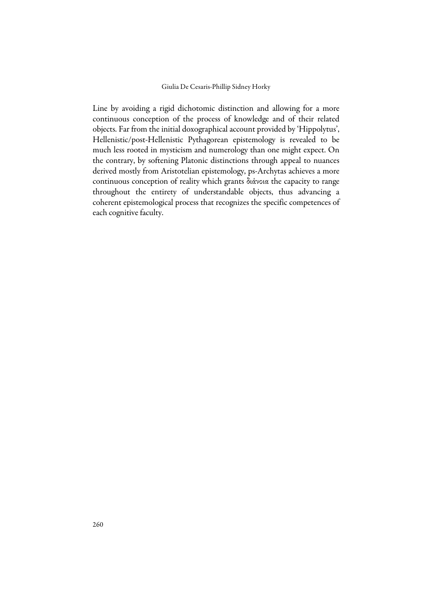Line by avoiding a rigid dichotomic distinction and allowing for a more continuous conception of the process of knowledge and of their related objects. Far from the initial doxographical account provided by 'Hippolytus', Hellenistic/post-Hellenistic Pythagorean epistemology is revealed to be much less rooted in mysticism and numerology than one might expect. On the contrary, by softening Platonic distinctions through appeal to nuances derived mostly from Aristotelian epistemology, ps-Archytas achieves a more continuous conception of reality which grants διάνοια the capacity to range throughout the entirety of understandable objects, thus advancing a coherent epistemological process that recognizes the specific competences of each cognitive faculty.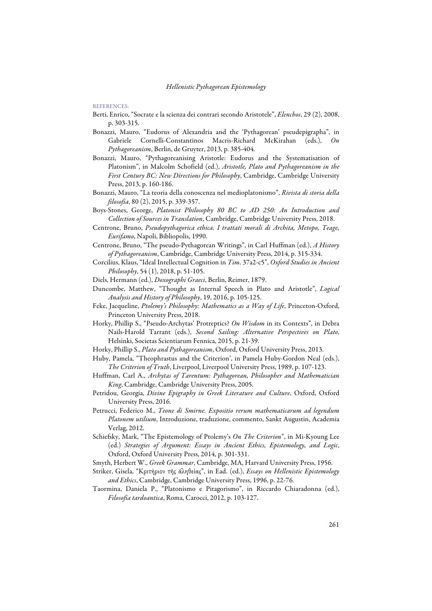REFERENCES:

- Berti, Enrico, "Socrate e la scienza dei contrari secondo Aristotele", *Elenchos*, 29 (2), 2008, p. 303-315.
- Bonazzi, Mauro, "Eudorus of Alexandria and the 'Pythagorean' pseudepigrapha", in Gabriele Cornelli-Constantinos Macris-Richard McKirahan (eds.), *On Pythagoreanism*, Berlin, de Gruyter, 2013, p. 385-404.
- Bonazzi, Mauro, "Pythagoreanising Aristotle: Eudorus and the Systematisation of Platonism", in Malcolm Schofield (ed.), *Aristotle, Plato and Pythagoreanism in the First Century BC: New Directions for Philosophy*, Cambridge, Cambridge University Press, 2013, p. 160-186.
- Bonazzi, Mauro, "La teoria della conoscenza nel medioplatonismo", *Rivista di storia della filosofia*, 80 (2), 2015, p. 339-357.
- Boys-Stones, George, *Platonist Philosophy 80 BC to AD 250: An Introduction and Collection of Sources in Translation*, Cambridge, Cambridge University Press, 2018.
- Centrone, Bruno, *Pseudopythagorica ethica. I trattati morali di Archita, Metopo, Teage, Eurifamo*, Napoli, Bibliopolis, 1990.
- Centrone, Bruno, "The pseudo-Pythagorean Writings", in Carl Huffman (ed.), *A History of Pythagoreanism*, Cambridge, Cambridge University Press, 2014, p. 315-334.
- Corcilius, Klaus, "Ideal Intellectual Cognition in *Tim*. 37a2-c5", *Oxford Studies in Ancient Philosophy*, 54 (1), 2018, p. 51-105.
- Diels, Hermann (ed.), *Doxographi Graeci*, Berlin, Reimer, 1879.
- Duncombe, Matthew, "Thought as Internal Speech in Plato and Aristotle", *Logical Analysis and History of Philosophy*, 19, 2016, p. 105-125.
- Feke, Jacqueline, *Ptolemy's Philosophy: Mathematics as a Way of Life*, Princeton-Oxford, Princeton University Press, 2018.
- Horky, Phillip S., "Pseudo-Archytas' Protreptics? *On Wisdom* in its Contexts", in Debra Nails-Harold Tarrant (eds.), *Second Sailing: Alternative Perspectives on Plato*, Helsinki, Societas Scientiarum Fennica, 2015, p. 21-39.
- Horky, Phillip S., *Plato and Pythagoreanism*, Oxford, Oxford University Press, 2013.
- Huby, Pamela, "Theophrastus and the Criterion', in Pamela Huby-Gordon Neal (eds.), *The Criterion of Truth*, Liverpool, Liverpool University Press, 1989, p. 107-123.
- Huffman, Carl A., *Archytas of Tarentum: Pythagorean, Philosopher and Mathematician King*, Cambridge, Cambridge University Press, 2005.
- Petridou, Georgia, *Divine Epigraphy in Greek Literature and Culture*, Oxford, Oxford University Press, 2016.
- Petrucci, Federico M., *Teone di Smirne. Expositio rerum mathematicarum ad legendum Platonem utilium*, Introduzione, traduzione, commento, Sankt Augustin, Academia Verlag, 2012.
- Schiefsky, Mark, "The Epistemology of Ptolemy's *On The Criterion*", in Mi-Kyoung Lee (ed.) *Strategies of Argument: Essays in Ancient Ethics, Epistemology, and Logic*, Oxford, Oxford University Press, 2014, p. 301-331.
- Smyth, Herbert W., *Greek Grammar*, Cambridge, MA, Harvard University Press, 1956.
- Striker, Gisela, "Kριτήριον τῆς ἀληθείας", in Ead. (ed.), *Essays on Hellenistic Epistemology and Ethics*, Cambridge, Cambridge University Press, 1996, p. 22-76.
- Taormina, Daniela P., "Platonismo e Pitagorismo", in Riccardo Chiaradonna (ed.), *Filosofia tardoantica*, Roma, Carocci, 2012, p. 103-127.